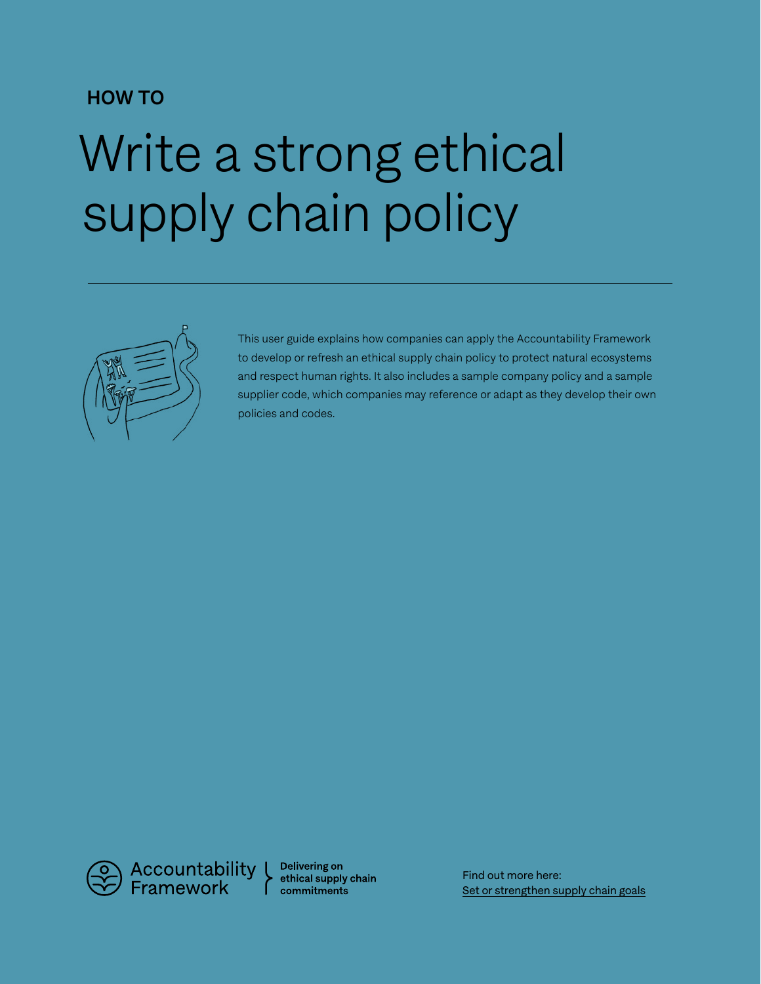# HOW TO

# Write a strong ethical supply chain policy



This user guide explains how companies can apply the Accountability Framework to develop or refresh an ethical supply chain policy to protect natural ecosystems and respect human rights. It also includes a sample company policy and a sample supplier code, which companies may reference or adapt as they develop their own policies and codes.

Accountability<br>Framework

Delivering on ethical supply chain commitments

Find out more here: [Set or strengthen supply chain goals](https://accountability-framework.org/how-to-use-it/apply-the-framework/setting-goals/)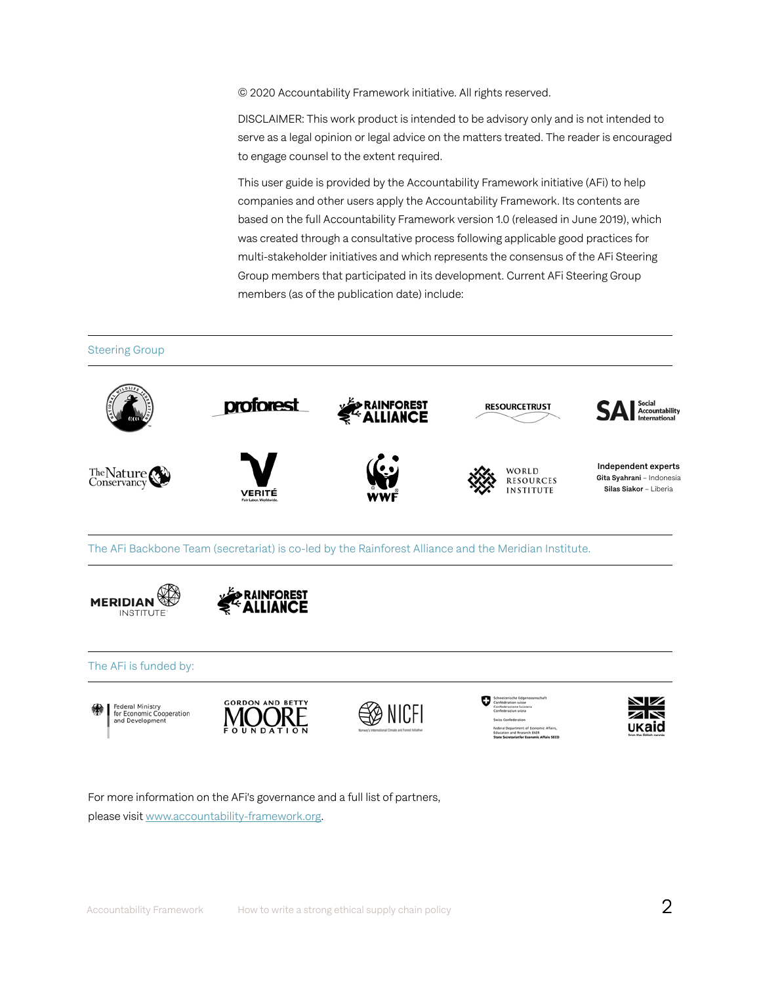© 2020 Accountability Framework initiative. All rights reserved.

DISCLAIMER: This work product is intended to be advisory only and is not intended to serve as a legal opinion or legal advice on the matters treated. The reader is encouraged to engage counsel to the extent required.

This user guide is provided by the Accountability Framework initiative (AFi) to help companies and other users apply the Accountability Framework. Its contents are based on the full Accountability Framework version 1.0 (released in June 2019), which was created through a consultative process following applicable good practices for multi-stakeholder initiatives and which represents the consensus of the AFi Steering Group members that participated in its development. Current AFi Steering Group members (as of the publication date) include:









For more information on the AFi's governance and a full list of partners, please visit [www.accountability-framework.org.](https://accountability-framework.org/)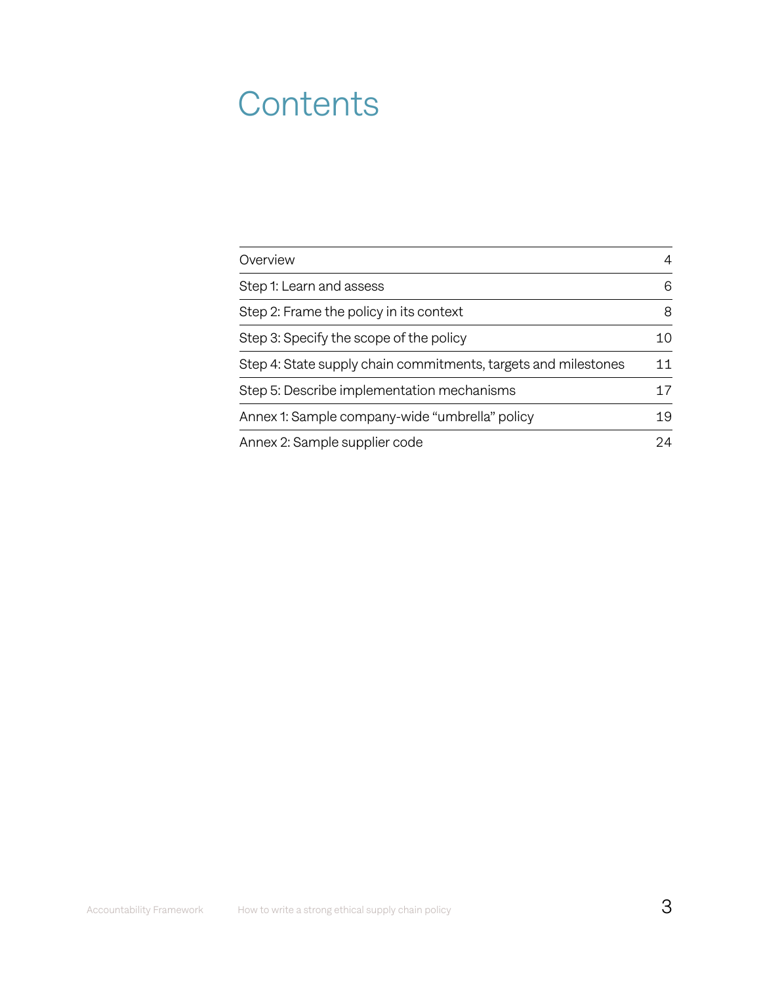# **Contents**

| Overview                                                       | 4  |
|----------------------------------------------------------------|----|
| Step 1: Learn and assess                                       | 6  |
| Step 2: Frame the policy in its context                        | 8  |
| Step 3: Specify the scope of the policy                        | 10 |
| Step 4: State supply chain commitments, targets and milestones | 11 |
| Step 5: Describe implementation mechanisms                     | 17 |
| Annex 1: Sample company-wide "umbrella" policy                 | 19 |
| Annex 2: Sample supplier code                                  | 24 |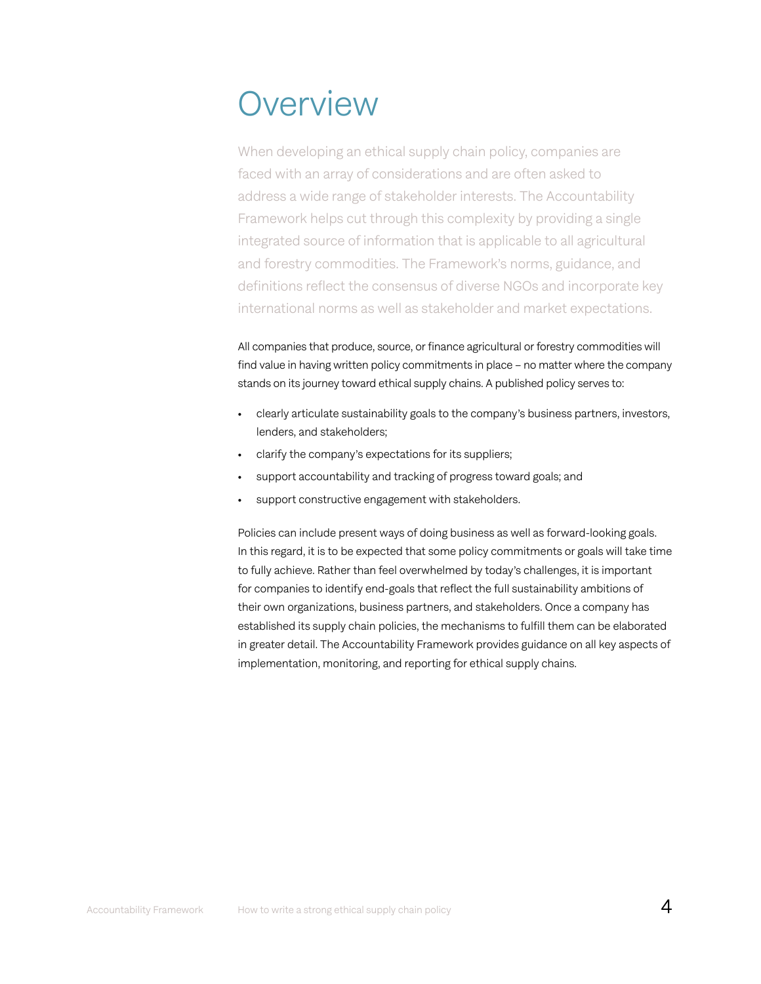# **Overview**

When developing an ethical supply chain policy, companies are faced with an array of considerations and are often asked to address a wide range of stakeholder interests. The Accountability Framework helps cut through this complexity by providing a single integrated source of information that is applicable to all agricultural and forestry commodities. The Framework's norms, guidance, and definitions reflect the consensus of diverse NGOs and incorporate key international norms as well as stakeholder and market expectations.

All companies that produce, source, or finance agricultural or forestry commodities will find value in having written policy commitments in place – no matter where the company stands on its journey toward ethical supply chains. A published policy serves to:

- clearly articulate sustainability goals to the company's business partners, investors, lenders, and stakeholders;
- clarify the company's expectations for its suppliers;
- support accountability and tracking of progress toward goals; and
- support constructive engagement with stakeholders.

Policies can include present ways of doing business as well as forward-looking goals. In this regard, it is to be expected that some policy commitments or goals will take time to fully achieve. Rather than feel overwhelmed by today's challenges, it is important for companies to identify end-goals that reflect the full sustainability ambitions of their own organizations, business partners, and stakeholders. Once a company has established its supply chain policies, the mechanisms to fulfill them can be elaborated in greater detail. The Accountability Framework provides guidance on all key aspects of implementation, monitoring, and reporting for ethical supply chains.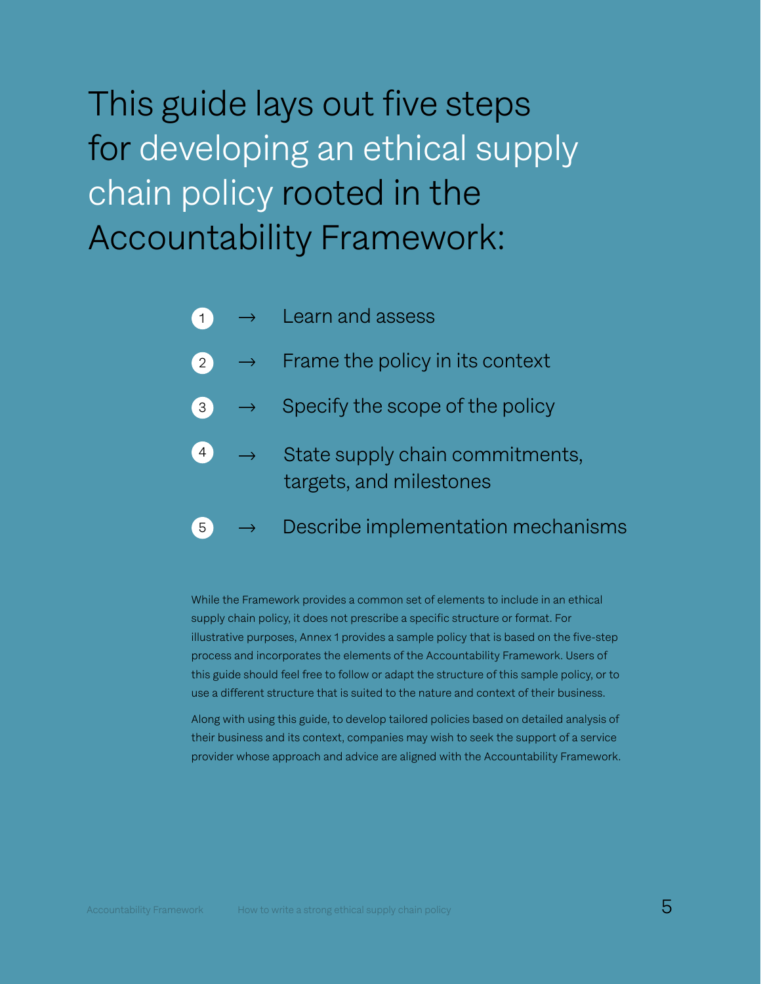This guide lays out five steps for developing an ethical supply chain policy rooted in the Accountability Framework:

- ' Learn and assess  $\overline{1}$
- $\rightarrow$  Frame the policy in its context 2
- Specify the scope of the policy 3
- State supply chain commitments, targets, and milestones 4
- Describe implementation mechanisms 5

While the Framework provides a common set of elements to include in an ethical supply chain policy, it does not prescribe a specific structure or format. For illustrative purposes, Annex 1 provides a sample policy that is based on the five-step process and incorporates the elements of the Accountability Framework. Users of this guide should feel free to follow or adapt the structure of this sample policy, or to use a different structure that is suited to the nature and context of their business.

Along with using this guide, to develop tailored policies based on detailed analysis of their business and its context, companies may wish to seek the support of a service provider whose approach and advice are aligned with the Accountability Framework.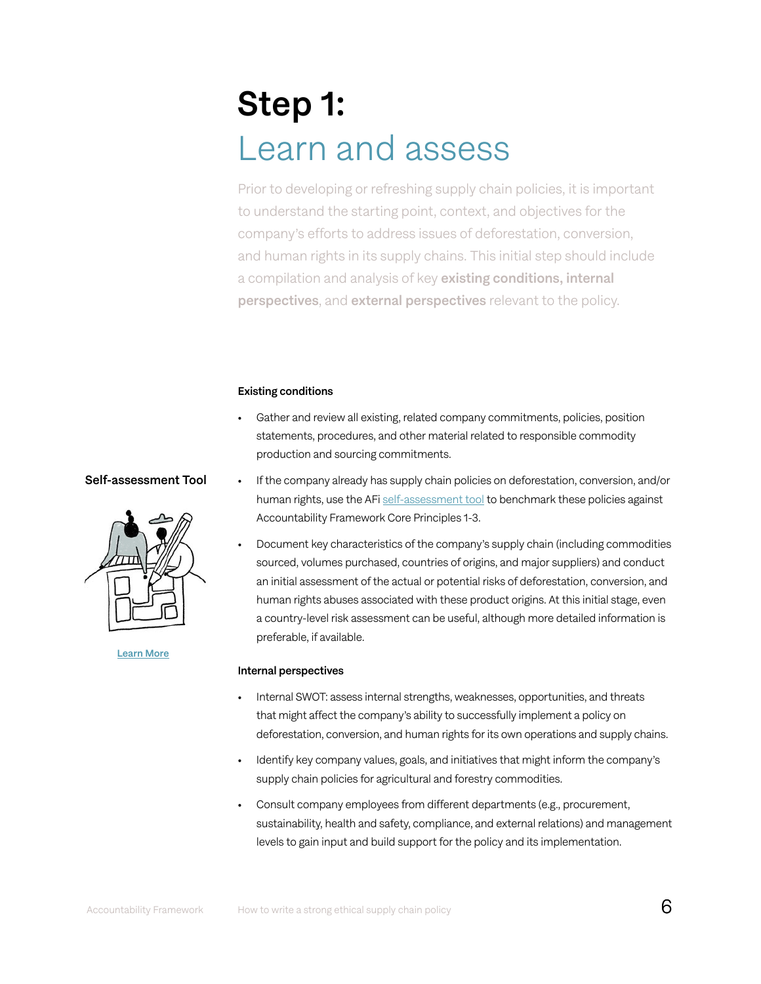# Step 1: Learn and assess

Prior to developing or refreshing supply chain policies, it is important to understand the starting point, context, and objectives for the company's efforts to address issues of deforestation, conversion, and human rights in its supply chains. This initial step should include a compilation and analysis of key existing conditions, internal perspectives, and external perspectives relevant to the policy.

#### Existing conditions

- Gather and review all existing, related company commitments, policies, position statements, procedures, and other material related to responsible commodity production and sourcing commitments.
- If the company already has supply chain policies on deforestation, conversion, and/or human rights, use the AFi [self-assessment tool](https://accountability-framework.org/how-to-use-it/apply-the-framework/self-assessment/) to benchmark these policies against Accountability Framework Core Principles 1-3.
- Document key characteristics of the company's supply chain (including commodities sourced, volumes purchased, countries of origins, and major suppliers) and conduct an initial assessment of the actual or potential risks of deforestation, conversion, and human rights abuses associated with these product origins. At this initial stage, even a country-level risk assessment can be useful, although more detailed information is preferable, if available.

#### Internal perspectives

- Internal SWOT: assess internal strengths, weaknesses, opportunities, and threats that might affect the company's ability to successfully implement a policy on deforestation, conversion, and human rights for its own operations and supply chains.
- Identify key company values, goals, and initiatives that might inform the company's supply chain policies for agricultural and forestry commodities.
- Consult company employees from different departments (e.g., procurement, sustainability, health and safety, compliance, and external relations) and management levels to gain input and build support for the policy and its implementation.

# Self-assessment Tool



[Learn More](https://accountability-framework.org/how-to-use-it/apply-the-framework/self-assessment/)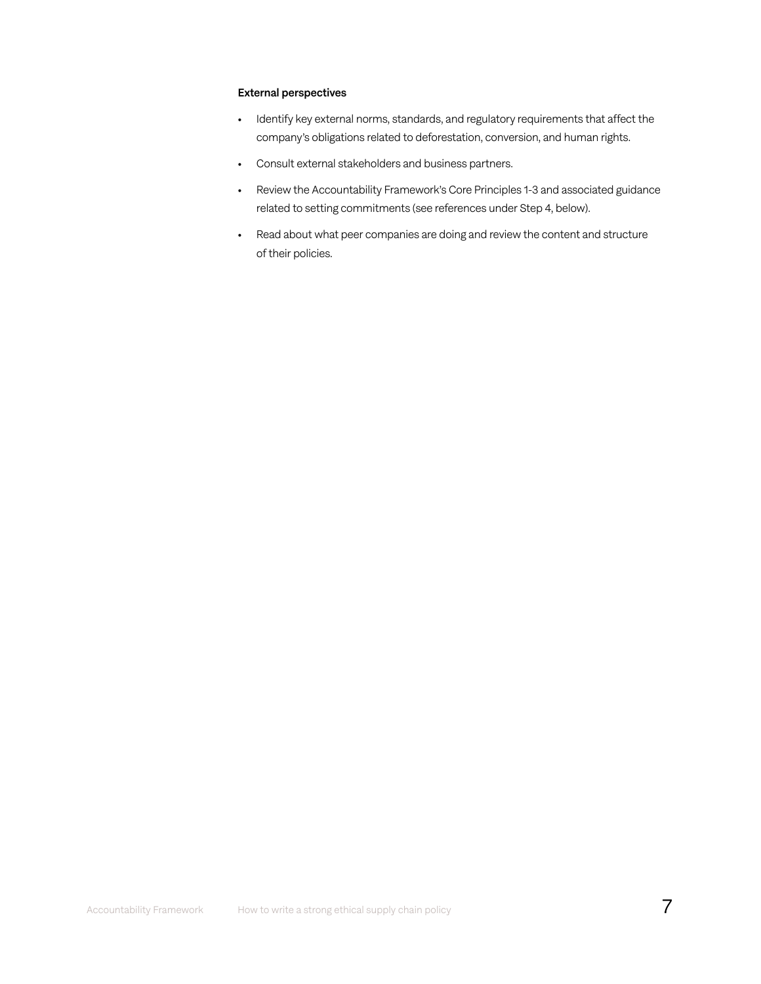#### External perspectives

- Identify key external norms, standards, and regulatory requirements that affect the company's obligations related to deforestation, conversion, and human rights.
- Consult external stakeholders and business partners.
- Review the Accountability Framework's Core Principles 1-3 and associated guidance related to setting commitments (see references under Step 4, below).
- Read about what peer companies are doing and review the content and structure of their policies.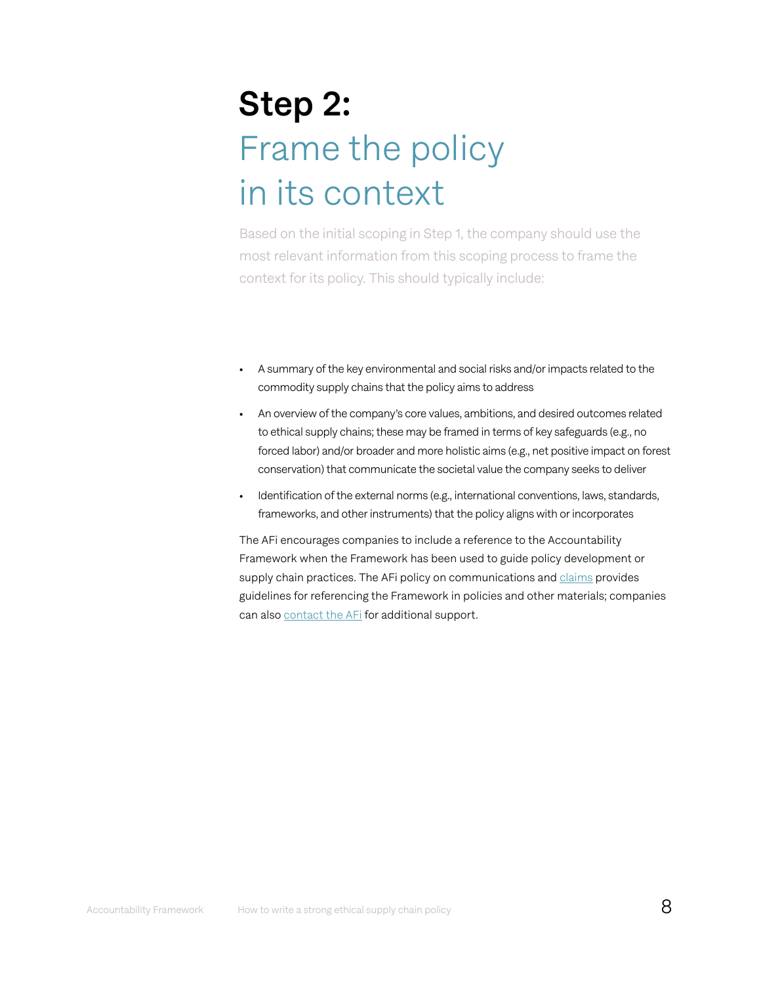# Step 2: Frame the policy in its context

Based on the initial scoping in Step 1, the company should use the most relevant information from this scoping process to frame the context for its policy. This should typically include:

- A summary of the key environmental and social risks and/or impacts related to the commodity supply chains that the policy aims to address
- An overview of the company's core values, ambitions, and desired outcomes related to ethical supply chains; these may be framed in terms of key safeguards (e.g., no forced labor) and/or broader and more holistic aims (e.g., net positive impact on forest conservation) that communicate the societal value the company seeks to deliver
- Identification of the external norms (e.g., international conventions, laws, standards, frameworks, and other instruments) that the policy aligns with or incorporates

The AFi encourages companies to include a reference to the Accountability Framework when the Framework has been used to guide policy development or supply chain practices. The AFi policy on communications and [claims](https://accountability-framework.org/how-to-use-it/apply-the-framework/communications-and-claims/) provides guidelines for referencing the Framework in policies and other materials; companies can also [contact the AFi](https://accountability-framework.org/about/about-the-initiative/contact/) for additional support.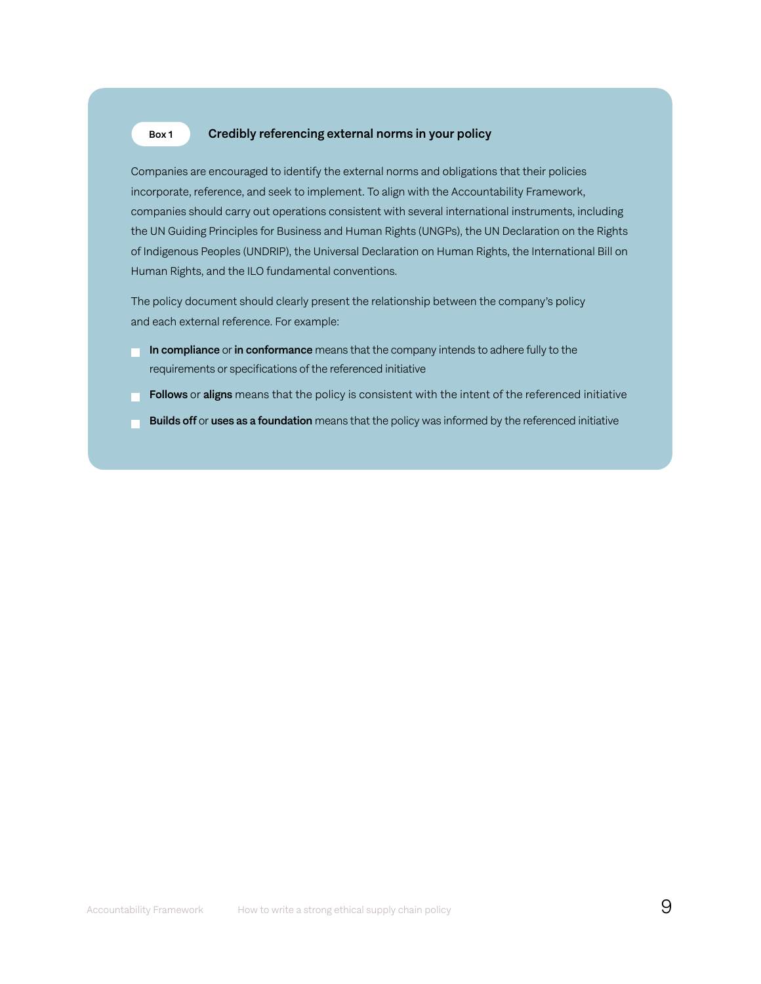#### Credibly referencing external norms in your policy Box 1

Companies are encouraged to identify the external norms and obligations that their policies incorporate, reference, and seek to implement. To align with the Accountability Framework, companies should carry out operations consistent with several international instruments, including the UN Guiding Principles for Business and Human Rights (UNGPs), the UN Declaration on the Rights of Indigenous Peoples (UNDRIP), the Universal Declaration on Human Rights, the International Bill on Human Rights, and the ILO fundamental conventions.

The policy document should clearly present the relationship between the company's policy and each external reference. For example:

- In compliance or in conformance means that the company intends to adhere fully to the requirements or specifications of the referenced initiative
- **Follows** or aligns means that the policy is consistent with the intent of the referenced initiative
- **Builds off or uses as a foundation** means that the policy was informed by the referenced initiative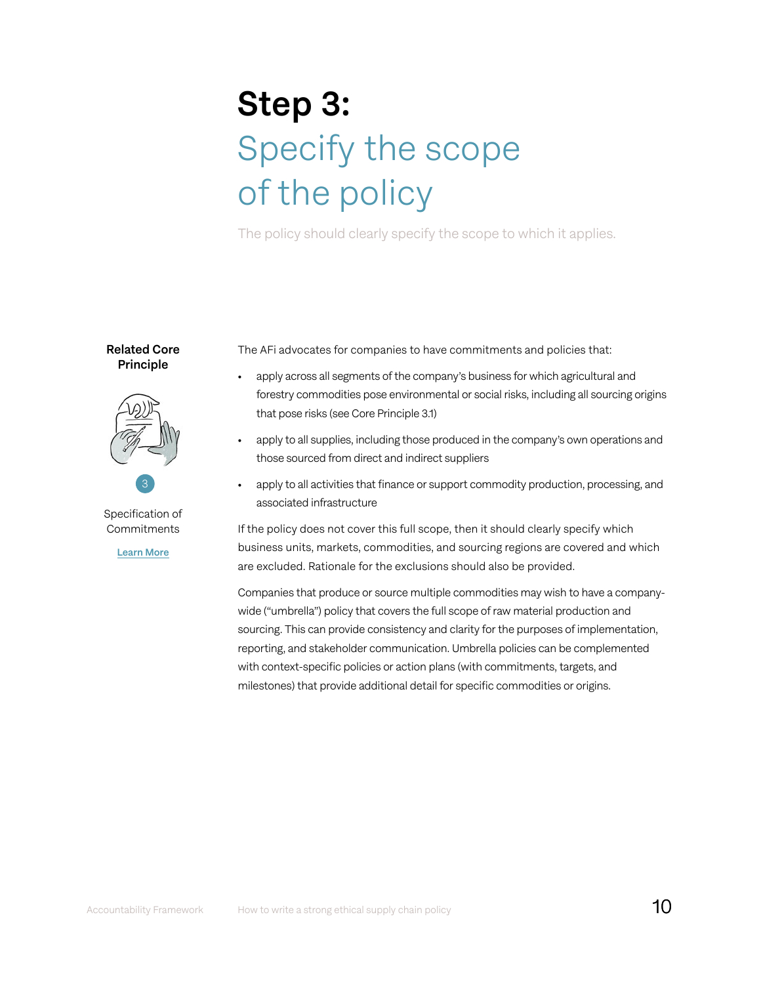# Step 3: Specify the scope of the policy

The policy should clearly specify the scope to which it applies.

Related Core Principle



Specification of **Commitments** 

[Learn More](https://accountability-framework.org/core-principles/3-specification-of-commitments/)

The AFi advocates for companies to have commitments and policies that:

- apply across all segments of the company's business for which agricultural and forestry commodities pose environmental or social risks, including all sourcing origins that pose risks (see Core Principle 3.1)
- apply to all supplies, including those produced in the company's own operations and those sourced from direct and indirect suppliers
- apply to all activities that finance or support commodity production, processing, and associated infrastructure

If the policy does not cover this full scope, then it should clearly specify which business units, markets, commodities, and sourcing regions are covered and which are excluded. Rationale for the exclusions should also be provided.

Companies that produce or source multiple commodities may wish to have a companywide ("umbrella") policy that covers the full scope of raw material production and sourcing. This can provide consistency and clarity for the purposes of implementation, reporting, and stakeholder communication. Umbrella policies can be complemented with context-specific policies or action plans (with commitments, targets, and milestones) that provide additional detail for specific commodities or origins.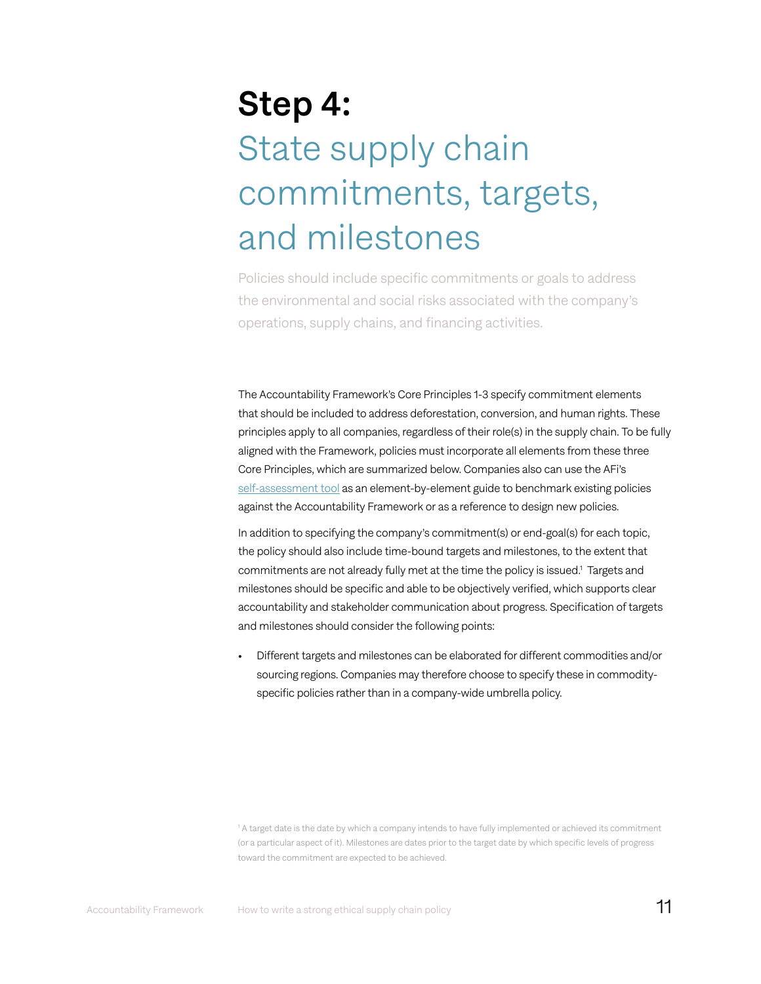# Step 4: State supply chain commitments, targets, and milestones

Policies should include specific commitments or goals to address the environmental and social risks associated with the company's operations, supply chains, and financing activities.

The Accountability Framework's Core Principles 1-3 specify commitment elements that should be included to address deforestation, conversion, and human rights. These principles apply to all companies, regardless of their role(s) in the supply chain. To be fully aligned with the Framework, policies must incorporate all elements from these three Core Principles, which are summarized below. Companies also can use the AFi's [self-assessment tool](https://accountability-framework.org/how-to-use-it/apply-the-framework/self-assessment/) as an element-by-element guide to benchmark existing policies against the Accountability Framework or as a reference to design new policies.

In addition to specifying the company's commitment(s) or end-goal(s) for each topic, the policy should also include time-bound targets and milestones, to the extent that commitments are not already fully met at the time the policy is issued.1 Targets and milestones should be specific and able to be objectively verified, which supports clear accountability and stakeholder communication about progress. Specification of targets and milestones should consider the following points:

• Different targets and milestones can be elaborated for different commodities and/or sourcing regions. Companies may therefore choose to specify these in commodityspecific policies rather than in a company-wide umbrella policy.

1 A target date is the date by which a company intends to have fully implemented or achieved its commitment (or a particular aspect of it). Milestones are dates prior to the target date by which specific levels of progress toward the commitment are expected to be achieved.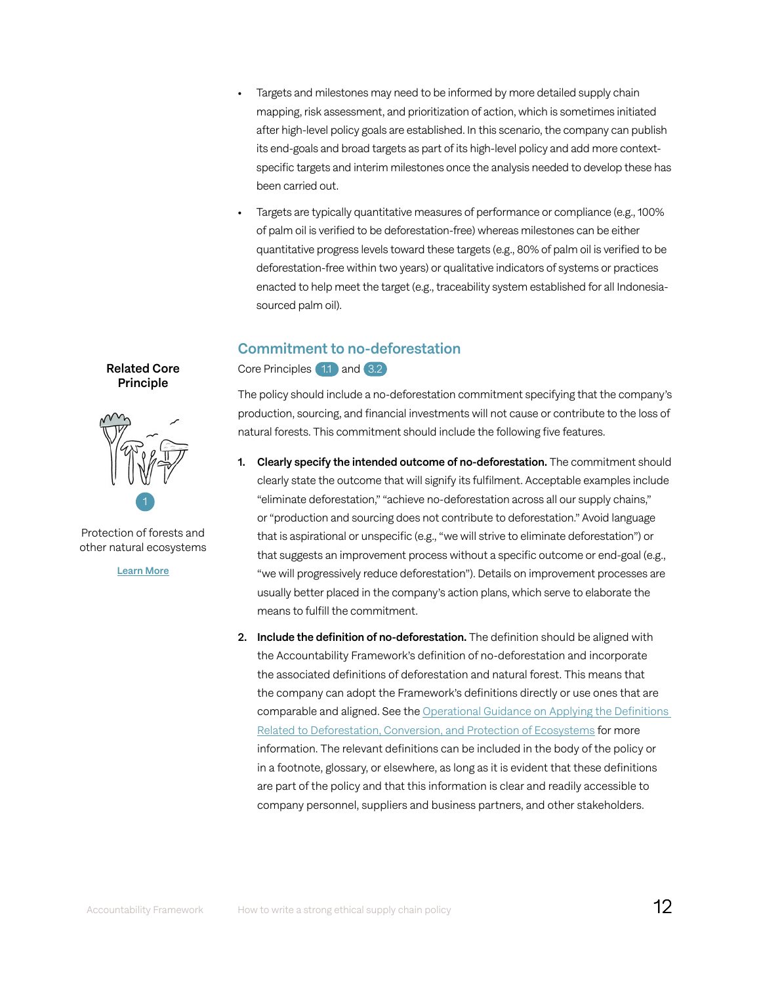- Targets and milestones may need to be informed by more detailed supply chain mapping, risk assessment, and prioritization of action, which is sometimes initiated after high-level policy goals are established. In this scenario, the company can publish its end-goals and broad targets as part of its high-level policy and add more contextspecific targets and interim milestones once the analysis needed to develop these has been carried out.
- Targets are typically quantitative measures of performance or compliance (e.g., 100% of palm oil is verified to be deforestation-free) whereas milestones can be either quantitative progress levels toward these targets (e.g., 80% of palm oil is verified to be deforestation-free within two years) or qualitative indicators of systems or practices enacted to help meet the target (e.g., traceability system established for all Indonesiasourced palm oil).

# Commitment to no-deforestation

Core Principles 1.1 and 3.2

The policy should include a no-deforestation commitment specifying that the company's production, sourcing, and financial investments will not cause or contribute to the loss of natural forests. This commitment should include the following five features.

- 1. Clearly specify the intended outcome of no-deforestation. The commitment should clearly state the outcome that will signify its fulfilment. Acceptable examples include "eliminate deforestation," "achieve no-deforestation across all our supply chains," or "production and sourcing does not contribute to deforestation." Avoid language that is aspirational or unspecific (e.g., "we will strive to eliminate deforestation") or that suggests an improvement process without a specific outcome or end-goal (e.g., "we will progressively reduce deforestation"). Details on improvement processes are usually better placed in the company's action plans, which serve to elaborate the means to fulfill the commitment.
- 2. Include the definition of no-deforestation. The definition should be aligned with the Accountability Framework's definition of no-deforestation and incorporate the associated definitions of deforestation and natural forest. This means that the company can adopt the Framework's definitions directly or use ones that are comparable and aligned. See the [Operational](https://s30882.pcdn.co/wp-content/uploads/2020/09/OG_Applying_Definitions-2020-5.pdf) Guidance on Applying the Definitions [Related to Deforestation, Conversion, and Protection of Ecosystems](https://s30882.pcdn.co/wp-content/uploads/2020/09/OG_Applying_Definitions-2020-5.pdf) for more information. The relevant definitions can be included in the body of the policy or in a footnote, glossary, or elsewhere, as long as it is evident that these definitions are part of the policy and that this information is clear and readily accessible to company personnel, suppliers and business partners, and other stakeholders.

Related Core **Principle** 



Protection of forests and other natural ecosystems

[Learn More](https://accountability-framework.org/core-principles/1-protection-of-forests-and-other-natural-ecosystems)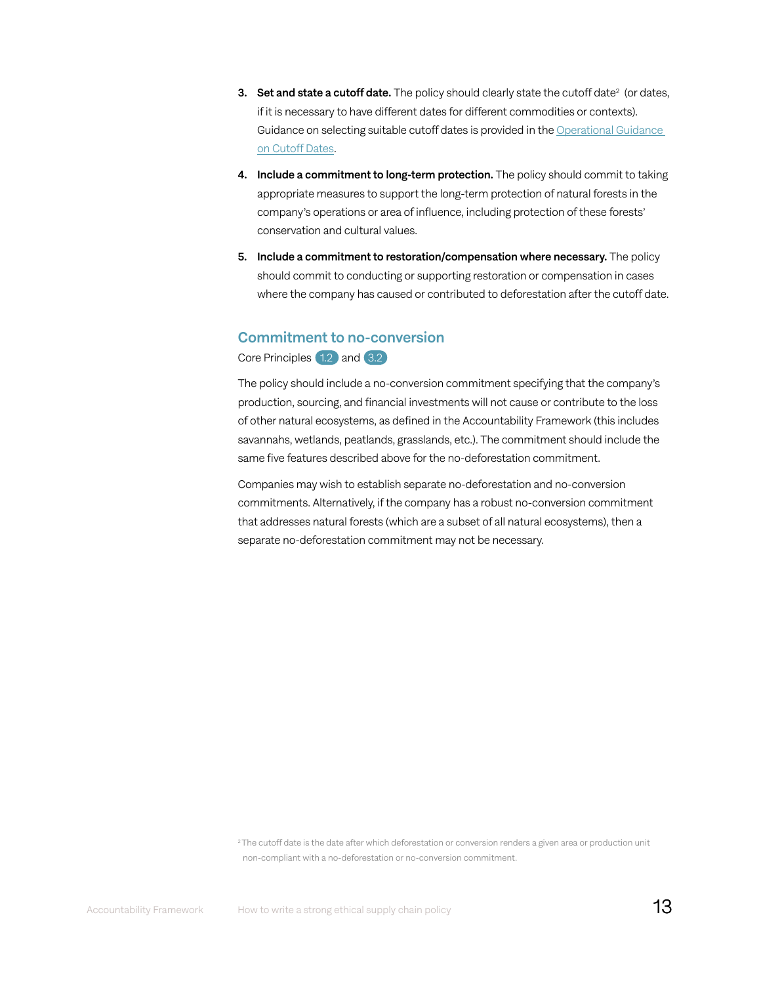- **3.** Set and state a cutoff date. The policy should clearly state the cutoff date<sup>2</sup> (or dates, if it is necessary to have different dates for different commodities or contexts). Guidance on selecting suitable cutoff dates is provided in the [Operational Guidance](https://accountability-framework.org/operational-guidance/cutoff-dates/)  on [Cutoff](https://accountability-framework.org/operational-guidance/cutoff-dates/) Dates.
- 4. Include a commitment to long-term protection. The policy should commit to taking appropriate measures to support the long-term protection of natural forests in the company's operations or area of influence, including protection of these forests' conservation and cultural values.
- 5. Include a commitment to restoration/compensation where necessary. The policy should commit to conducting or supporting restoration or compensation in cases where the company has caused or contributed to deforestation after the cutoff date.

### Commitment to no-conversion

Core Principles 1.2 and 3.2

The policy should include a no-conversion commitment specifying that the company's production, sourcing, and financial investments will not cause or contribute to the loss of other natural ecosystems, as defined in the Accountability Framework (this includes savannahs, wetlands, peatlands, grasslands, etc.). The commitment should include the same five features described above for the no-deforestation commitment.

Companies may wish to establish separate no-deforestation and no-conversion commitments. Alternatively, if the company has a robust no-conversion commitment that addresses natural forests (which are a subset of all natural ecosystems), then a separate no-deforestation commitment may not be necessary.

<sup>2</sup>The cutoff date is the date after which deforestation or conversion renders a given area or production unit non-compliant with a no-deforestation or no-conversion commitment.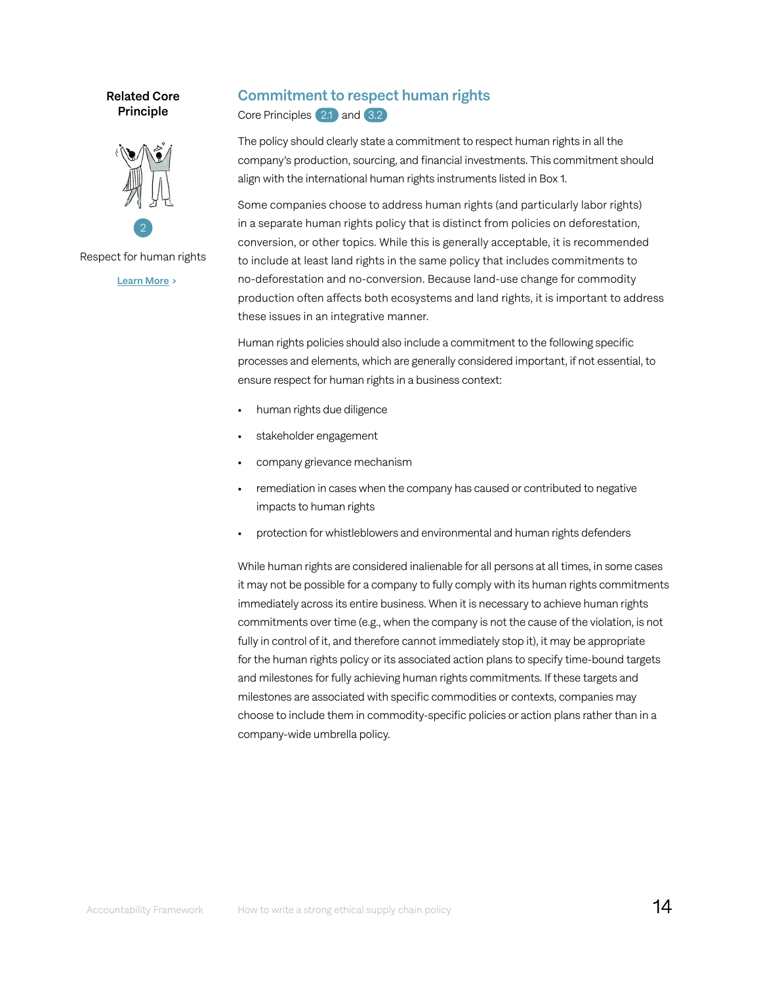Related Core **Principle** 



Respect for human rights

[Learn More](https://accountability-framework.org/core-principles/2-respect-for-human-rights/) >

# Commitment to respect human rights

Core Principles 2.1 and 3.2

The policy should clearly state a commitment to respect human rights in all the company's production, sourcing, and financial investments. This commitment should align with the international human rights instruments listed in Box 1.

Some companies choose to address human rights (and particularly labor rights) in a separate human rights policy that is distinct from policies on deforestation, conversion, or other topics. While this is generally acceptable, it is recommended to include at least land rights in the same policy that includes commitments to no-deforestation and no-conversion. Because land-use change for commodity production often affects both ecosystems and land rights, it is important to address these issues in an integrative manner.

Human rights policies should also include a commitment to the following specific processes and elements, which are generally considered important, if not essential, to ensure respect for human rights in a business context:

- human rights due diligence
- stakeholder engagement
- company grievance mechanism
- remediation in cases when the company has caused or contributed to negative impacts to human rights
- protection for whistleblowers and environmental and human rights defenders

While human rights are considered inalienable for all persons at all times, in some cases it may not be possible for a company to fully comply with its human rights commitments immediately across its entire business. When it is necessary to achieve human rights commitments over time (e.g., when the company is not the cause of the violation, is not fully in control of it, and therefore cannot immediately stop it), it may be appropriate for the human rights policy or its associated action plans to specify time-bound targets and milestones for fully achieving human rights commitments. If these targets and milestones are associated with specific commodities or contexts, companies may choose to include them in commodity-specific policies or action plans rather than in a company-wide umbrella policy.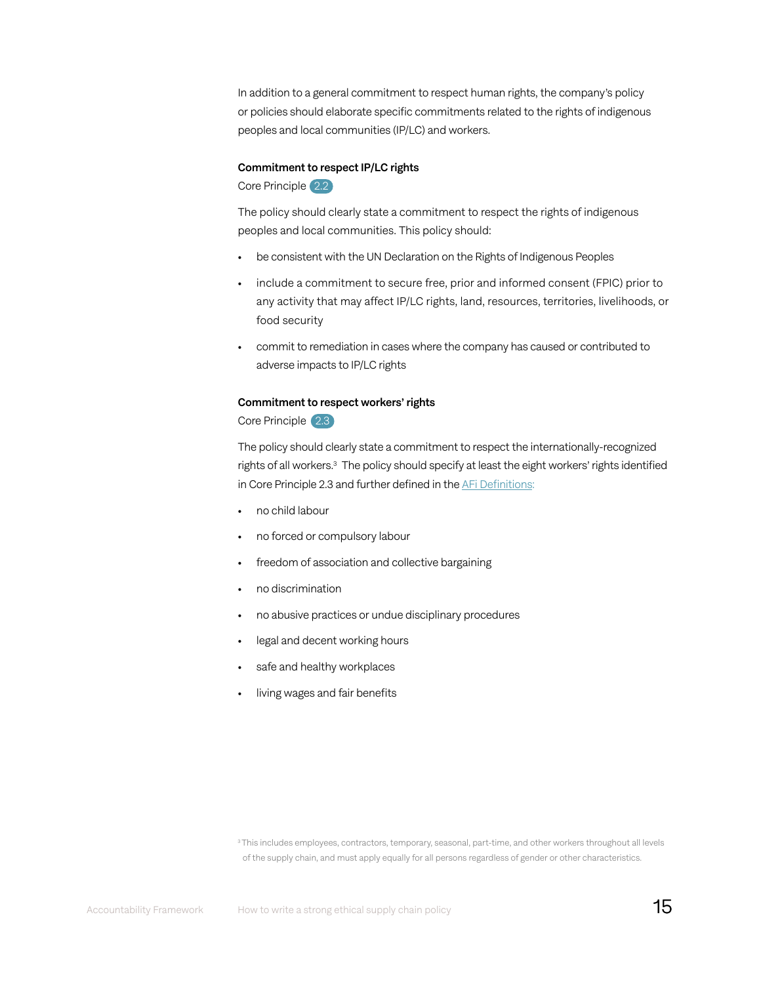In addition to a general commitment to respect human rights, the company's policy or policies should elaborate specific commitments related to the rights of indigenous peoples and local communities (IP/LC) and workers.

#### Commitment to respect IP/LC rights

Core Principle 2.2

The policy should clearly state a commitment to respect the rights of indigenous peoples and local communities. This policy should:

- be consistent with the UN Declaration on the Rights of Indigenous Peoples
- include a commitment to secure free, prior and informed consent (FPIC) prior to any activity that may affect IP/LC rights, land, resources, territories, livelihoods, or food security
- commit to remediation in cases where the company has caused or contributed to adverse impacts to IP/LC rights

#### Commitment to respect workers' rights

Core Principle 2.3

The policy should clearly state a commitment to respect the internationally-recognized rights of all workers.3 The policy should specify at least the eight workers' rights identified in Core Principle 2.3 and further defined in the AFi [Definitions](https://accountability-framework.org/the-framework/contents/definitions/):

- no child labour
- no forced or compulsory labour
- freedom of association and collective bargaining
- no discrimination
- no abusive practices or undue disciplinary procedures
- legal and decent working hours
- safe and healthy workplaces
- living wages and fair benefits

<sup>&</sup>lt;sup>3</sup> This includes employees, contractors, temporary, seasonal, part-time, and other workers throughout all levels of the supply chain, and must apply equally for all persons regardless of gender or other characteristics.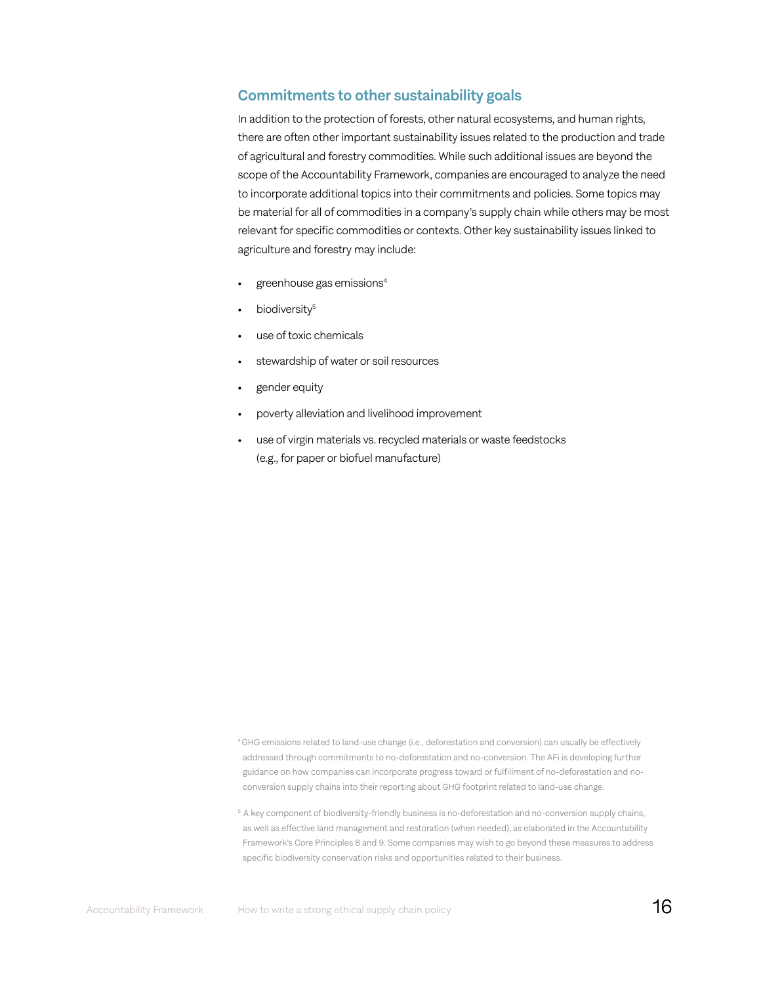### Commitments to other sustainability goals

In addition to the protection of forests, other natural ecosystems, and human rights, there are often other important sustainability issues related to the production and trade of agricultural and forestry commodities. While such additional issues are beyond the scope of the Accountability Framework, companies are encouraged to analyze the need to incorporate additional topics into their commitments and policies. Some topics may be material for all of commodities in a company's supply chain while others may be most relevant for specific commodities or contexts. Other key sustainability issues linked to agriculture and forestry may include:

- greenhouse gas emissions<sup>4</sup>
- $\bullet$  biodiversity<sup>5</sup>
- use of toxic chemicals
- stewardship of water or soil resources
- gender equity
- poverty alleviation and livelihood improvement
- use of virgin materials vs. recycled materials or waste feedstocks (e.g., for paper or biofuel manufacture)

<sup>4</sup>GHG emissions related to land-use change (i.e., deforestation and conversion) can usually be effectively addressed through commitments to no-deforestation and no-conversion. The AFi is developing further guidance on how companies can incorporate progress toward or fulfillment of no-deforestation and noconversion supply chains into their reporting about GHG footprint related to land-use change.

<sup>&</sup>lt;sup>5</sup> A key component of biodiversity-friendly business is no-deforestation and no-conversion supply chains, as well as effective land management and restoration (when needed), as elaborated in the Accountability Framework's Core Principles 8 and 9. Some companies may wish to go beyond these measures to address specific biodiversity conservation risks and opportunities related to their business.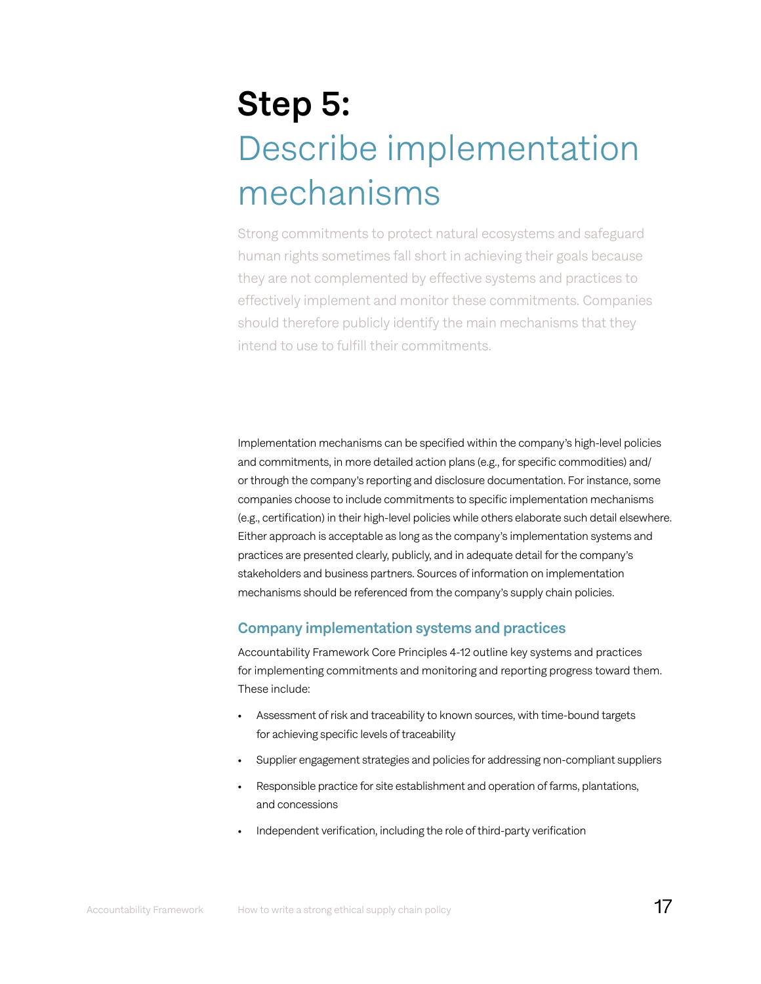# Step 5: Describe implementation mechanisms

Strong commitments to protect natural ecosystems and safeguard human rights sometimes fall short in achieving their goals because they are not complemented by effective systems and practices to effectively implement and monitor these commitments. Companies should therefore publicly identify the main mechanisms that they intend to use to fulfill their commitments.

Implementation mechanisms can be specified within the company's high-level policies and commitments, in more detailed action plans (e.g., for specific commodities) and/ or through the company's reporting and disclosure documentation. For instance, some companies choose to include commitments to specific implementation mechanisms (e.g., certification) in their high-level policies while others elaborate such detail elsewhere. Either approach is acceptable as long as the company's implementation systems and practices are presented clearly, publicly, and in adequate detail for the company's stakeholders and business partners. Sources of information on implementation mechanisms should be referenced from the company's supply chain policies.

# Company implementation systems and practices

Accountability Framework Core Principles 4-12 outline key systems and practices for implementing commitments and monitoring and reporting progress toward them. These include:

- Assessment of risk and traceability to known sources, with time-bound targets for achieving specific levels of traceability
- Supplier engagement strategies and policies for addressing non-compliant suppliers
- Responsible practice for site establishment and operation of farms, plantations, and concessions
- Independent verification, including the role of third-party verification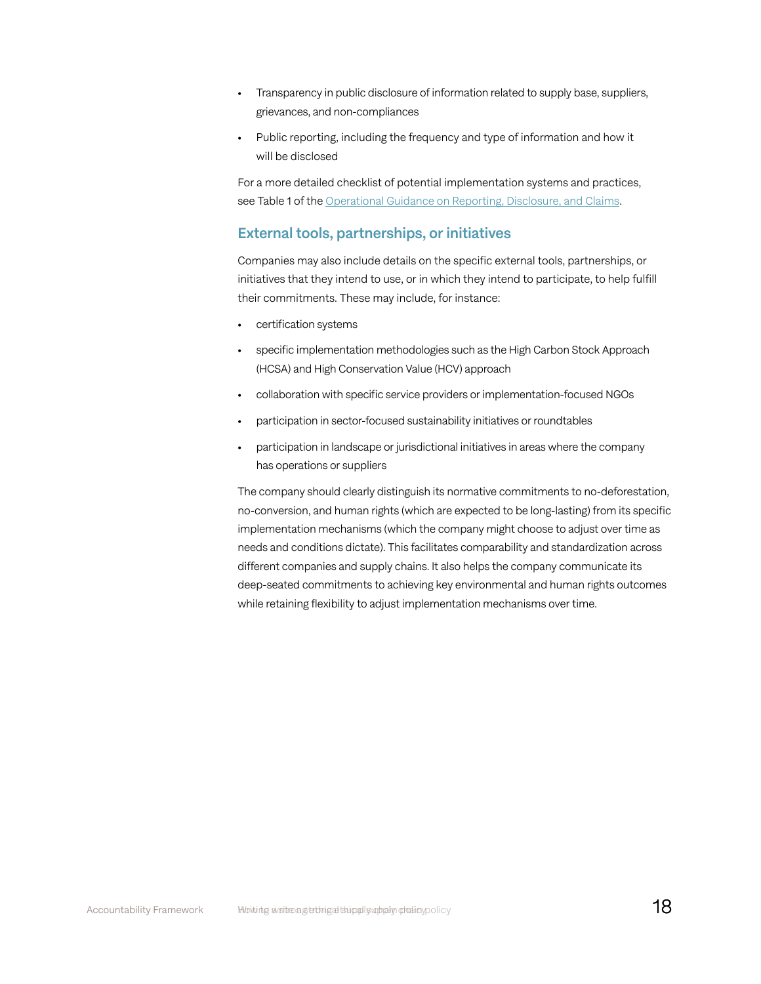- Transparency in public disclosure of information related to supply base, suppliers, grievances, and non-compliances
- Public reporting, including the frequency and type of information and how it will be disclosed

For a more detailed checklist of potential implementation systems and practices, see Table 1 of the [Operational Guidance on Reporting, Disclosure, and Claims.](https://accountability-framework.org/operational-guidance/reporting-disclosure-and-claims/)

### External tools, partnerships, or initiatives

Companies may also include details on the specific external tools, partnerships, or initiatives that they intend to use, or in which they intend to participate, to help fulfill their commitments. These may include, for instance:

- certification systems
- specific implementation methodologies such as the High Carbon Stock Approach (HCSA) and High Conservation Value (HCV) approach
- collaboration with specific service providers or implementation-focused NGOs
- participation in sector-focused sustainability initiatives or roundtables
- participation in landscape or jurisdictional initiatives in areas where the company has operations or suppliers

The company should clearly distinguish its normative commitments to no-deforestation, no-conversion, and human rights (which are expected to be long-lasting) from its specific implementation mechanisms (which the company might choose to adjust over time as needs and conditions dictate). This facilitates comparability and standardization across different companies and supply chains. It also helps the company communicate its deep-seated commitments to achieving key environmental and human rights outcomes while retaining flexibility to adjust implementation mechanisms over time.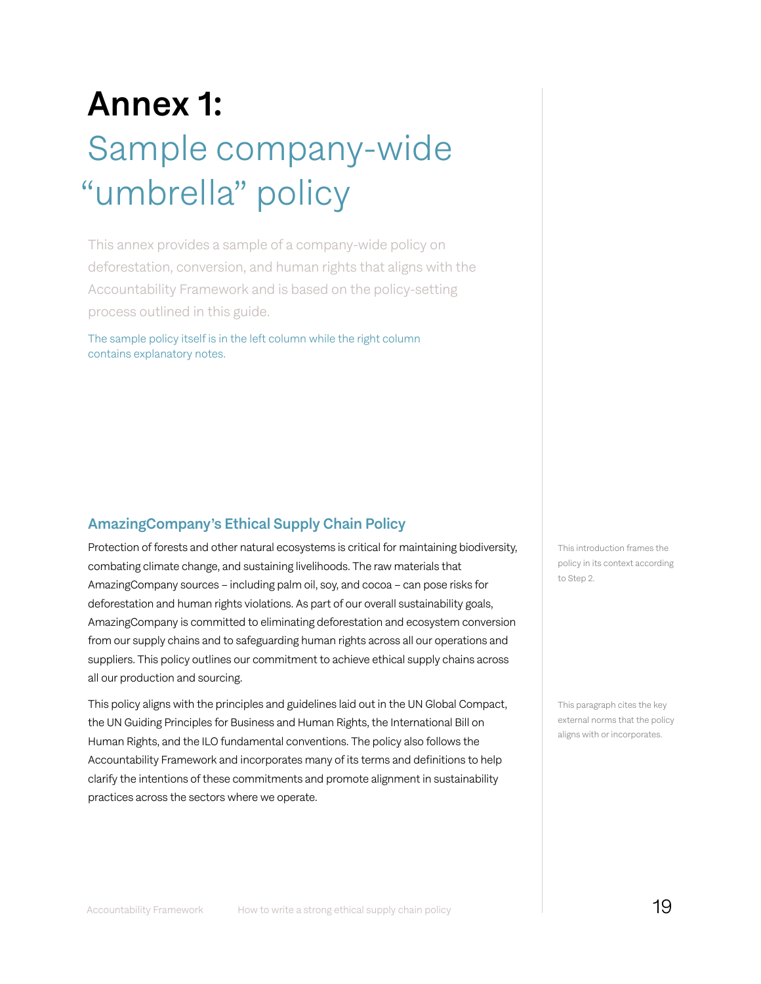# Annex 1: Sample company-wide "umbrella" policy

This annex provides a sample of a company-wide policy on deforestation, conversion, and human rights that aligns with the Accountability Framework and is based on the policy-setting process outlined in this guide.

The sample policy itself is in the left column while the right column contains explanatory notes.

# AmazingCompany's Ethical Supply Chain Policy

Protection of forests and other natural ecosystems is critical for maintaining biodiversity, combating climate change, and sustaining livelihoods. The raw materials that AmazingCompany sources – including palm oil, soy, and cocoa – can pose risks for deforestation and human rights violations. As part of our overall sustainability goals, AmazingCompany is committed to eliminating deforestation and ecosystem conversion from our supply chains and to safeguarding human rights across all our operations and suppliers. This policy outlines our commitment to achieve ethical supply chains across all our production and sourcing.

This policy aligns with the principles and guidelines laid out in the UN Global Compact, the UN Guiding Principles for Business and Human Rights, the International Bill on Human Rights, and the ILO fundamental conventions. The policy also follows the Accountability Framework and incorporates many of its terms and definitions to help clarify the intentions of these commitments and promote alignment in sustainability practices across the sectors where we operate.

This introduction frames the policy in its context according to Step 2.

This paragraph cites the key external norms that the policy aligns with or incorporates.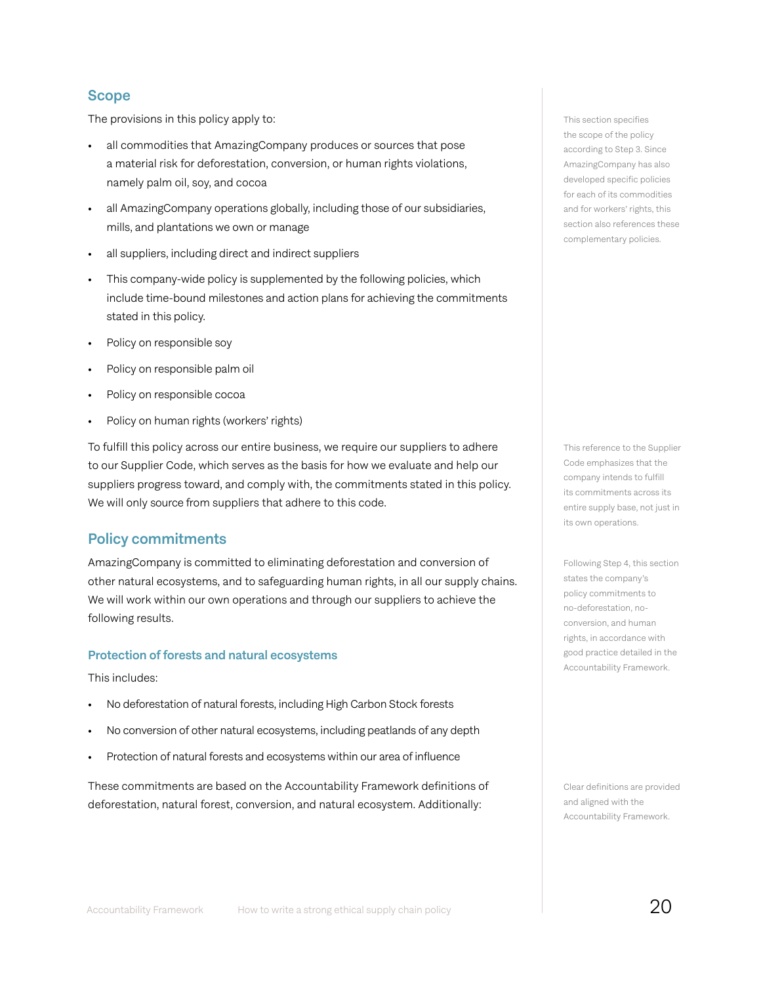### Scope

The provisions in this policy apply to:

- all commodities that AmazingCompany produces or sources that pose a material risk for deforestation, conversion, or human rights violations, namely palm oil, soy, and cocoa
- all AmazingCompany operations globally, including those of our subsidiaries, mills, and plantations we own or manage
- all suppliers, including direct and indirect suppliers
- This company-wide policy is supplemented by the following policies, which include time-bound milestones and action plans for achieving the commitments stated in this policy.
- Policy on responsible soy
- Policy on responsible palm oil
- Policy on responsible cocoa
- Policy on human rights (workers' rights)

To fulfill this policy across our entire business, we require our suppliers to adhere to our Supplier Code, which serves as the basis for how we evaluate and help our suppliers progress toward, and comply with, the commitments stated in this policy. We will only source from suppliers that adhere to this code.

### Policy commitments

AmazingCompany is committed to eliminating deforestation and conversion of other natural ecosystems, and to safeguarding human rights, in all our supply chains. We will work within our own operations and through our suppliers to achieve the following results.

#### Protection of forests and natural ecosystems

This includes:

- No deforestation of natural forests, including High Carbon Stock forests
- No conversion of other natural ecosystems, including peatlands of any depth
- Protection of natural forests and ecosystems within our area of influence

These commitments are based on the Accountability Framework definitions of deforestation, natural forest, conversion, and natural ecosystem. Additionally:

This section specifies the scope of the policy according to Step 3. Since AmazingCompany has also developed specific policies for each of its commodities and for workers' rights, this section also references these complementary policies.

This reference to the Supplier Code emphasizes that the company intends to fulfill its commitments across its entire supply base, not just in its own operations.

Following Step 4, this section states the company's policy commitments to no-deforestation, noconversion, and human rights, in accordance with good practice detailed in the Accountability Framework.

Clear definitions are provided and aligned with the Accountability Framework.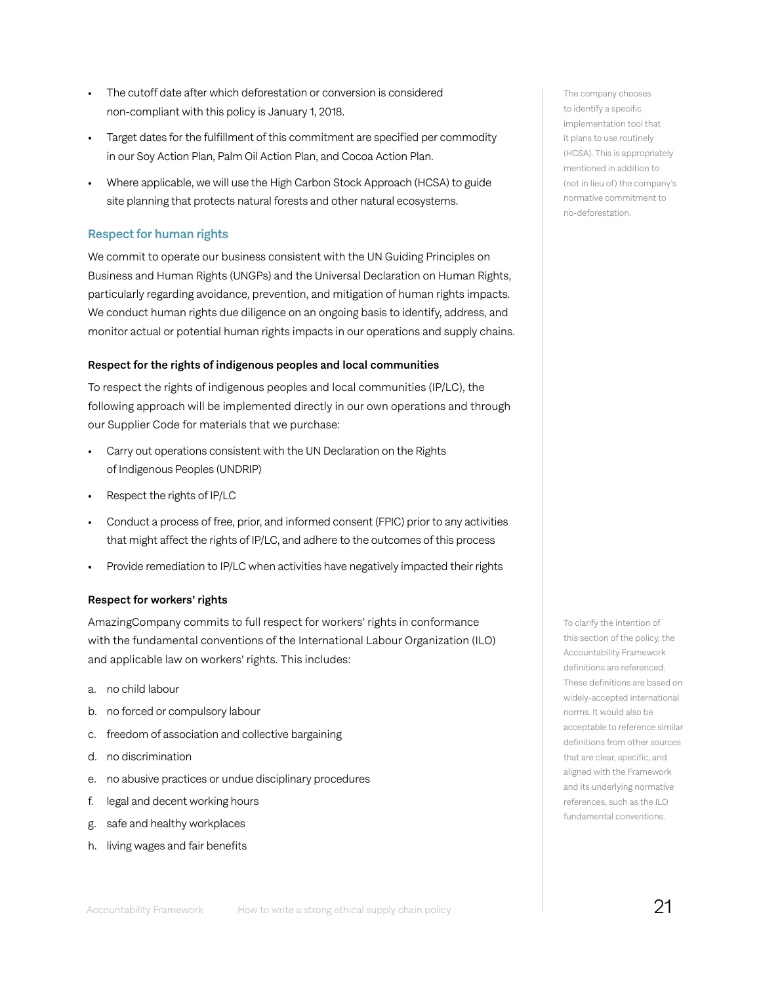- The cutoff date after which deforestation or conversion is considered non-compliant with this policy is January 1, 2018.
- Target dates for the fulfillment of this commitment are specified per commodity in our Soy Action Plan, Palm Oil Action Plan, and Cocoa Action Plan.
- Where applicable, we will use the High Carbon Stock Approach (HCSA) to guide site planning that protects natural forests and other natural ecosystems.

#### Respect for human rights

We commit to operate our business consistent with the UN Guiding Principles on Business and Human Rights (UNGPs) and the Universal Declaration on Human Rights, particularly regarding avoidance, prevention, and mitigation of human rights impacts. We conduct human rights due diligence on an ongoing basis to identify, address, and monitor actual or potential human rights impacts in our operations and supply chains.

#### Respect for the rights of indigenous peoples and local communities

To respect the rights of indigenous peoples and local communities (IP/LC), the following approach will be implemented directly in our own operations and through our Supplier Code for materials that we purchase:

- Carry out operations consistent with the UN Declaration on the Rights of Indigenous Peoples (UNDRIP)
- Respect the rights of IP/LC
- Conduct a process of free, prior, and informed consent (FPIC) prior to any activities that might affect the rights of IP/LC, and adhere to the outcomes of this process
- Provide remediation to IP/LC when activities have negatively impacted their rights

#### Respect for workers' rights

AmazingCompany commits to full respect for workers' rights in conformance with the fundamental conventions of the International Labour Organization (ILO) and applicable law on workers' rights. This includes:

- a. no child labour
- b. no forced or compulsory labour
- c. freedom of association and collective bargaining
- d. no discrimination
- e. no abusive practices or undue disciplinary procedures
- f. legal and decent working hours
- g. safe and healthy workplaces
- h. living wages and fair benefits

The company chooses to identify a specific implementation tool that it plans to use routinely (HCSA). This is appropriately mentioned in addition to (not in lieu of) the company's normative commitment to no-deforestation.

To clarify the intention of this section of the policy, the Accountability Framework definitions are referenced. These definitions are based on widely-accepted international norms. It would also be acceptable to reference similar definitions from other sources that are clear, specific, and aligned with the Framework and its underlying normative references, such as the ILO fundamental conventions.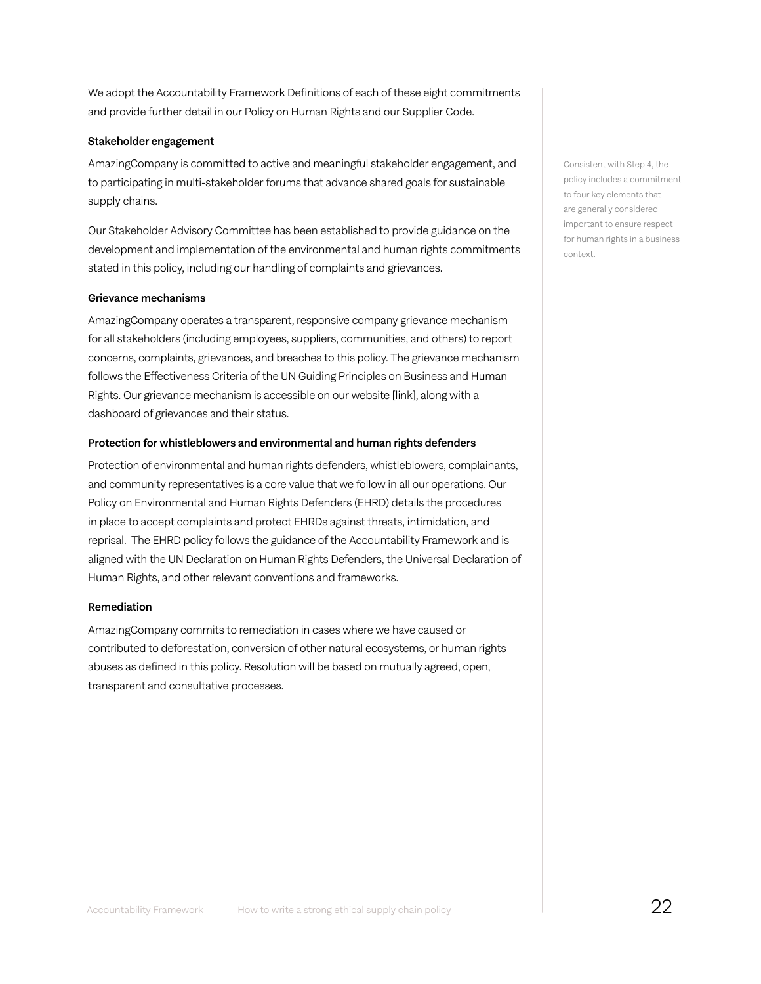We adopt the Accountability Framework Definitions of each of these eight commitments and provide further detail in our Policy on Human Rights and our Supplier Code.

#### Stakeholder engagement

AmazingCompany is committed to active and meaningful stakeholder engagement, and to participating in multi-stakeholder forums that advance shared goals for sustainable supply chains.

Our Stakeholder Advisory Committee has been established to provide guidance on the development and implementation of the environmental and human rights commitments stated in this policy, including our handling of complaints and grievances.

#### Grievance mechanisms

AmazingCompany operates a transparent, responsive company grievance mechanism for all stakeholders (including employees, suppliers, communities, and others) to report concerns, complaints, grievances, and breaches to this policy. The grievance mechanism follows the Effectiveness Criteria of the UN Guiding Principles on Business and Human Rights. Our grievance mechanism is accessible on our website [link], along with a dashboard of grievances and their status.

#### Protection for whistleblowers and environmental and human rights defenders

Protection of environmental and human rights defenders, whistleblowers, complainants, and community representatives is a core value that we follow in all our operations. Our Policy on Environmental and Human Rights Defenders (EHRD) details the procedures in place to accept complaints and protect EHRDs against threats, intimidation, and reprisal. The EHRD policy follows the guidance of the Accountability Framework and is aligned with the UN Declaration on Human Rights Defenders, the Universal Declaration of Human Rights, and other relevant conventions and frameworks.

#### Remediation

AmazingCompany commits to remediation in cases where we have caused or contributed to deforestation, conversion of other natural ecosystems, or human rights abuses as defined in this policy. Resolution will be based on mutually agreed, open, transparent and consultative processes.

Consistent with Step 4, the policy includes a commitment to four key elements that are generally considered important to ensure respect for human rights in a business context.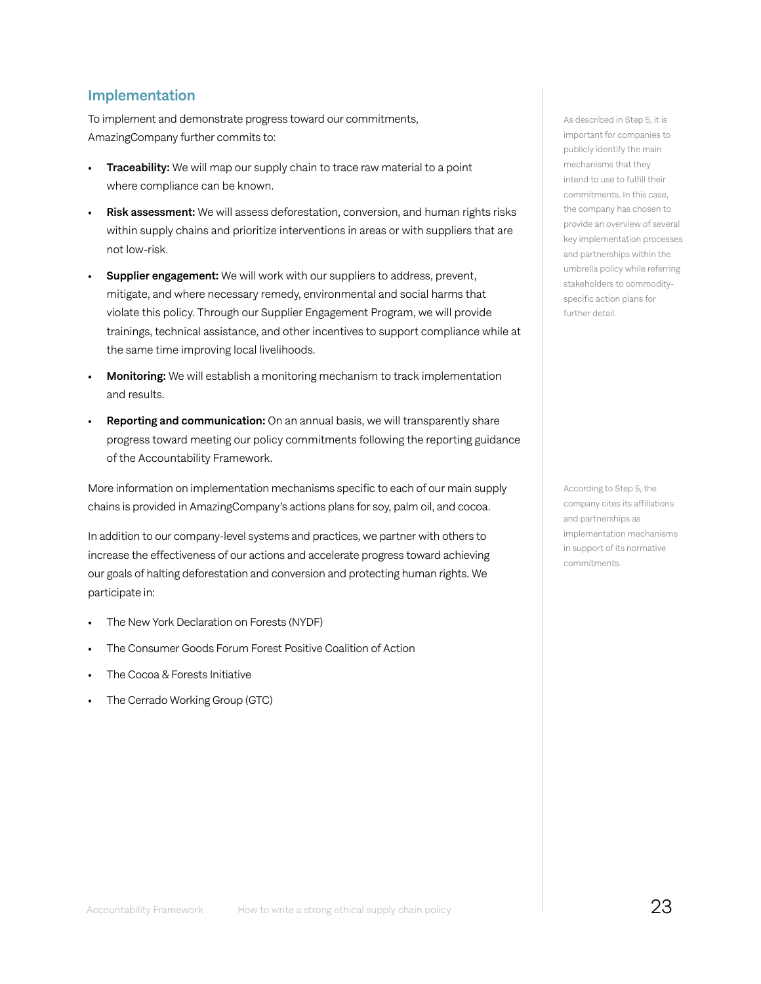### Implementation

To implement and demonstrate progress toward our commitments, AmazingCompany further commits to:

- Traceability: We will map our supply chain to trace raw material to a point where compliance can be known.
- Risk assessment: We will assess deforestation, conversion, and human rights risks within supply chains and prioritize interventions in areas or with suppliers that are not low-risk.
- **Supplier engagement:** We will work with our suppliers to address, prevent, mitigate, and where necessary remedy, environmental and social harms that violate this policy. Through our Supplier Engagement Program, we will provide trainings, technical assistance, and other incentives to support compliance while at the same time improving local livelihoods.
- **Monitoring:** We will establish a monitoring mechanism to track implementation and results.
- Reporting and communication: On an annual basis, we will transparently share progress toward meeting our policy commitments following the reporting guidance of the Accountability Framework.

More information on implementation mechanisms specific to each of our main supply chains is provided in AmazingCompany's actions plans for soy, palm oil, and cocoa.

In addition to our company-level systems and practices, we partner with others to increase the effectiveness of our actions and accelerate progress toward achieving our goals of halting deforestation and conversion and protecting human rights. We participate in:

- The New York Declaration on Forests (NYDF)
- The Consumer Goods Forum Forest Positive Coalition of Action
- The Cocoa & Forests Initiative
- The Cerrado Working Group (GTC)

As described in Step 5, it is important for companies to publicly identify the main mechanisms that they intend to use to fulfill their commitments. In this case, the company has chosen to provide an overview of several key implementation processes and partnerships within the umbrella policy while referring stakeholders to commodityspecific action plans for further detail.

According to Step 5, the company cites its affiliations and partnerships as implementation mechanisms in support of its normative commitments.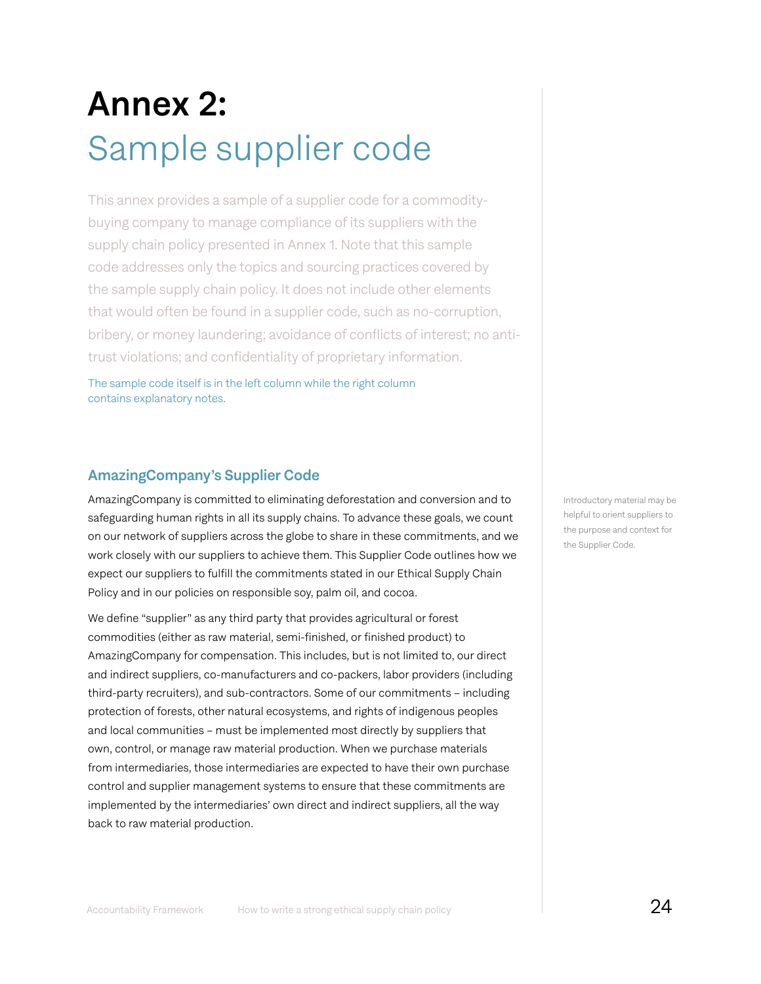# Annex 2: Sample supplier code

This annex provides a sample of a supplier code for a commoditybuying company to manage compliance of its suppliers with the supply chain policy presented in Annex 1. Note that this sample code addresses only the topics and sourcing practices covered by the sample supply chain policy. It does not include other elements that would often be found in a supplier code, such as no-corruption, bribery, or money laundering; avoidance of conflicts of interest; no antitrust violations; and confidentiality of proprietary information.

The sample code itself is in the left column while the right column contains explanatory notes.

# AmazingCompany's Supplier Code

AmazingCompany is committed to eliminating deforestation and conversion and to safeguarding human rights in all its supply chains. To advance these goals, we count on our network of suppliers across the globe to share in these commitments, and we work closely with our suppliers to achieve them. This Supplier Code outlines how we expect our suppliers to fulfill the commitments stated in our Ethical Supply Chain Policy and in our policies on responsible soy, palm oil, and cocoa.

We define "supplier" as any third party that provides agricultural or forest commodities (either as raw material, semi-finished, or finished product) to AmazingCompany for compensation. This includes, but is not limited to, our direct and indirect suppliers, co-manufacturers and co-packers, labor providers (including third-party recruiters), and sub-contractors. Some of our commitments – including protection of forests, other natural ecosystems, and rights of indigenous peoples and local communities – must be implemented most directly by suppliers that own, control, or manage raw material production. When we purchase materials from intermediaries, those intermediaries are expected to have their own purchase control and supplier management systems to ensure that these commitments are implemented by the intermediaries' own direct and indirect suppliers, all the way back to raw material production.

Introductory material may be helpful to orient suppliers to the purpose and context for the Supplier Code.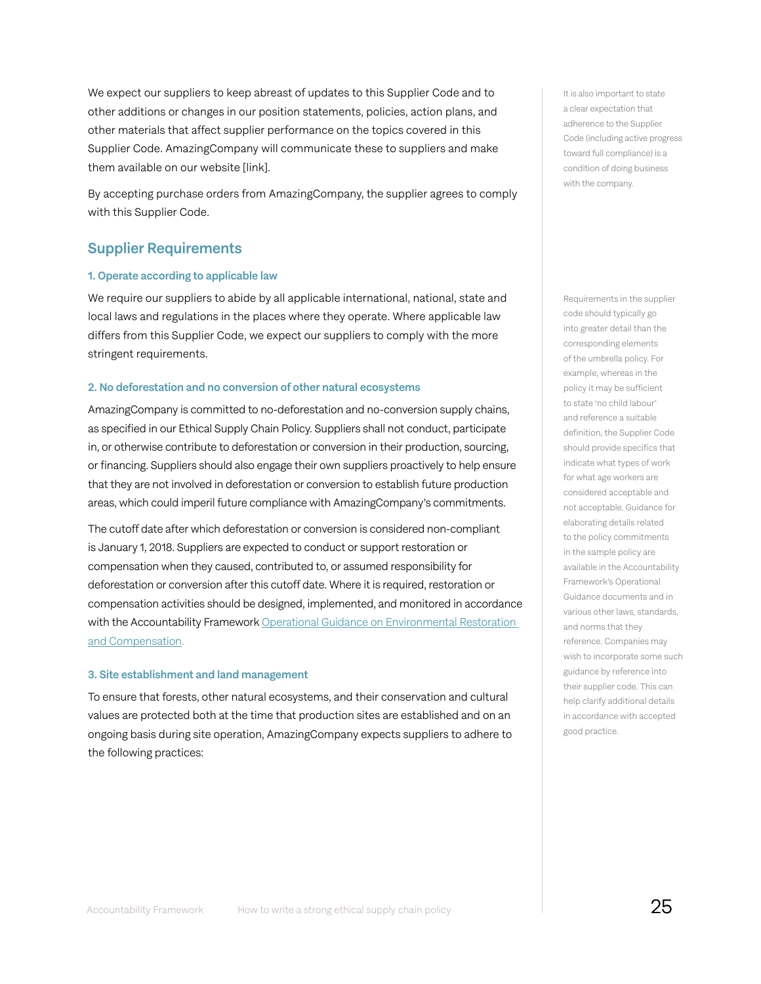We expect our suppliers to keep abreast of updates to this Supplier Code and to other additions or changes in our position statements, policies, action plans, and other materials that affect supplier performance on the topics covered in this Supplier Code. AmazingCompany will communicate these to suppliers and make them available on our website [link].

By accepting purchase orders from AmazingCompany, the supplier agrees to comply with this Supplier Code.

### Supplier Requirements

#### 1. Operate according to applicable law

We require our suppliers to abide by all applicable international, national, state and local laws and regulations in the places where they operate. Where applicable law differs from this Supplier Code, we expect our suppliers to comply with the more stringent requirements.

#### 2. No deforestation and no conversion of other natural ecosystems

AmazingCompany is committed to no-deforestation and no-conversion supply chains, as specified in our Ethical Supply Chain Policy. Suppliers shall not conduct, participate in, or otherwise contribute to deforestation or conversion in their production, sourcing, or financing. Suppliers should also engage their own suppliers proactively to help ensure that they are not involved in deforestation or conversion to establish future production areas, which could imperil future compliance with AmazingCompany's commitments.

The cutoff date after which deforestation or conversion is considered non-compliant is January 1, 2018. Suppliers are expected to conduct or support restoration or compensation when they caused, contributed to, or assumed responsibility for deforestation or conversion after this cutoff date. Where it is required, restoration or compensation activities should be designed, implemented, and monitored in accordance with the Accountability Framework Operational Guidance on Environmental Restoration [and Compensation](https://accountability-framework.org/operational-guidance/environmental-restoration-and-compensation/).

#### 3. Site establishment and land management

To ensure that forests, other natural ecosystems, and their conservation and cultural values are protected both at the time that production sites are established and on an ongoing basis during site operation, AmazingCompany expects suppliers to adhere to the following practices:

It is also important to state a clear expectation that adherence to the Supplier Code (including active progress toward full compliance) is a condition of doing business with the company.

Requirements in the supplier code should typically go into greater detail than the corresponding elements of the umbrella policy. For example, whereas in the policy it may be sufficient to state 'no child labour' and reference a suitable definition, the Supplier Code should provide specifics that indicate what types of work for what age workers are considered acceptable and not acceptable. Guidance for elaborating details related to the policy commitments in the sample policy are available in the Accountability Framework's Operational Guidance documents and in various other laws, standards, and norms that they reference. Companies may wish to incorporate some such guidance by reference into their supplier code. This can help clarify additional details in accordance with accepted good practice.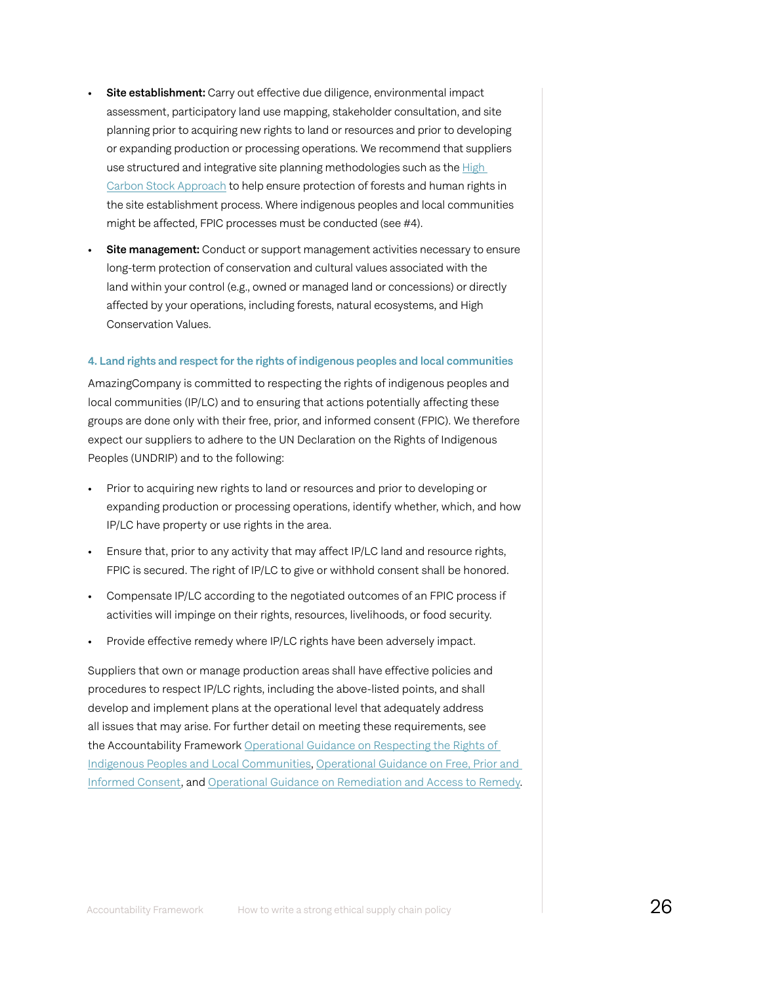- Site establishment: Carry out effective due diligence, environmental impact assessment, participatory land use mapping, stakeholder consultation, and site planning prior to acquiring new rights to land or resources and prior to developing or expanding production or processing operations. We recommend that suppliers use structured and integrative site planning methodologies such as the [High](http://highcarbonstock.org/) [Carbon Stock Approach](http://highcarbonstock.org/) to help ensure protection of forests and human rights in the site establishment process. Where indigenous peoples and local communities might be affected, FPIC processes must be conducted (see #4).
- **Site management:** Conduct or support management activities necessary to ensure long-term protection of conservation and cultural values associated with the land within your control (e.g., owned or managed land or concessions) or directly affected by your operations, including forests, natural ecosystems, and High Conservation Values.

#### 4. Land rights and respect for the rights of indigenous peoples and local communities

AmazingCompany is committed to respecting the rights of indigenous peoples and local communities (IP/LC) and to ensuring that actions potentially affecting these groups are done only with their free, prior, and informed consent (FPIC). We therefore expect our suppliers to adhere to the UN Declaration on the Rights of Indigenous Peoples (UNDRIP) and to the following:

- Prior to acquiring new rights to land or resources and prior to developing or expanding production or processing operations, identify whether, which, and how IP/LC have property or use rights in the area.
- Ensure that, prior to any activity that may affect IP/LC land and resource rights, FPIC is secured. The right of IP/LC to give or withhold consent shall be honored.
- Compensate IP/LC according to the negotiated outcomes of an FPIC process if activities will impinge on their rights, resources, livelihoods, or food security.
- Provide effective remedy where IP/LC rights have been adversely impact.

Suppliers that own or manage production areas shall have effective policies and procedures to respect IP/LC rights, including the above-listed points, and shall develop and implement plans at the operational level that adequately address all issues that may arise. For further detail on meeting these requirements, see the Accountability Framework Operational Guidance on Respecting the Rights of [Indigenous Peoples and Local Communities](https://accountability-framework.org/operational-guidance/respecting-the-rights-of-indigenous-peoples-and-local-communities/), [Operational Guidance on Free, Prior and](https://accountability-framework.org/operational-guidance/free-prior-and-informed-consent/)  [Informed Consent,](https://accountability-framework.org/operational-guidance/free-prior-and-informed-consent/) and [Operational Guidance on Remediation and Access to Remedy.](https://accountability-framework.org/operational-guidance/remediation-and-access-to-remedy/)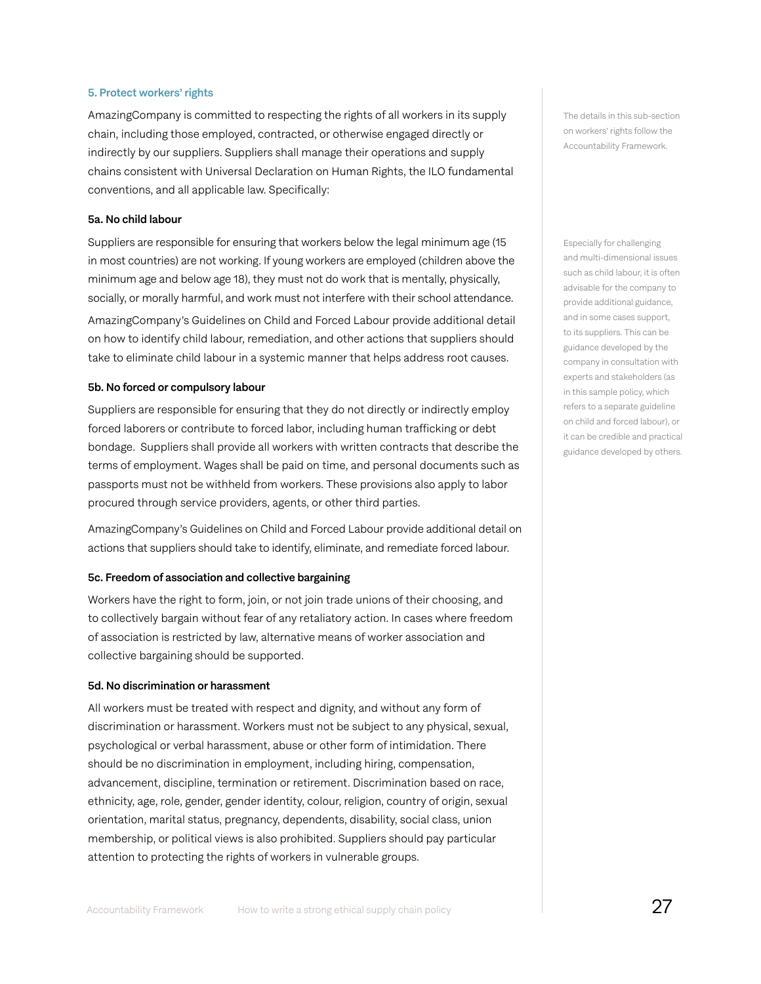#### 5. Protect workers' rights

AmazingCompany is committed to respecting the rights of all workers in its supply chain, including those employed, contracted, or otherwise engaged directly or indirectly by our suppliers. Suppliers shall manage their operations and supply chains consistent with Universal Declaration on Human Rights, the ILO fundamental conventions, and all applicable law. Specifically:

#### 5a. No child labour

Suppliers are responsible for ensuring that workers below the legal minimum age (15 in most countries) are not working. If young workers are employed (children above the minimum age and below age 18), they must not do work that is mentally, physically, socially, or morally harmful, and work must not interfere with their school attendance. AmazingCompany's Guidelines on Child and Forced Labour provide additional detail on how to identify child labour, remediation, and other actions that suppliers should take to eliminate child labour in a systemic manner that helps address root causes.

#### 5b. No forced or compulsory labour

Suppliers are responsible for ensuring that they do not directly or indirectly employ forced laborers or contribute to forced labor, including human trafficking or debt bondage. Suppliers shall provide all workers with written contracts that describe the terms of employment. Wages shall be paid on time, and personal documents such as passports must not be withheld from workers. These provisions also apply to labor procured through service providers, agents, or other third parties.

AmazingCompany's Guidelines on Child and Forced Labour provide additional detail on actions that suppliers should take to identify, eliminate, and remediate forced labour.

#### 5c. Freedom of association and collective bargaining

Workers have the right to form, join, or not join trade unions of their choosing, and to collectively bargain without fear of any retaliatory action. In cases where freedom of association is restricted by law, alternative means of worker association and collective bargaining should be supported.

#### 5d. No discrimination or harassment

All workers must be treated with respect and dignity, and without any form of discrimination or harassment. Workers must not be subject to any physical, sexual, psychological or verbal harassment, abuse or other form of intimidation. There should be no discrimination in employment, including hiring, compensation, advancement, discipline, termination or retirement. Discrimination based on race, ethnicity, age, role, gender, gender identity, colour, religion, country of origin, sexual orientation, marital status, pregnancy, dependents, disability, social class, union membership, or political views is also prohibited. Suppliers should pay particular attention to protecting the rights of workers in vulnerable groups.

The details in this sub-section on workers' rights follow the Accountability Framework.

Especially for challenging and multi-dimensional issues such as child labour, it is often advisable for the company to provide additional guidance, and in some cases support, to its suppliers. This can be guidance developed by the company in consultation with experts and stakeholders (as in this sample policy, which refers to a separate guideline on child and forced labour), or it can be credible and practical guidance developed by others.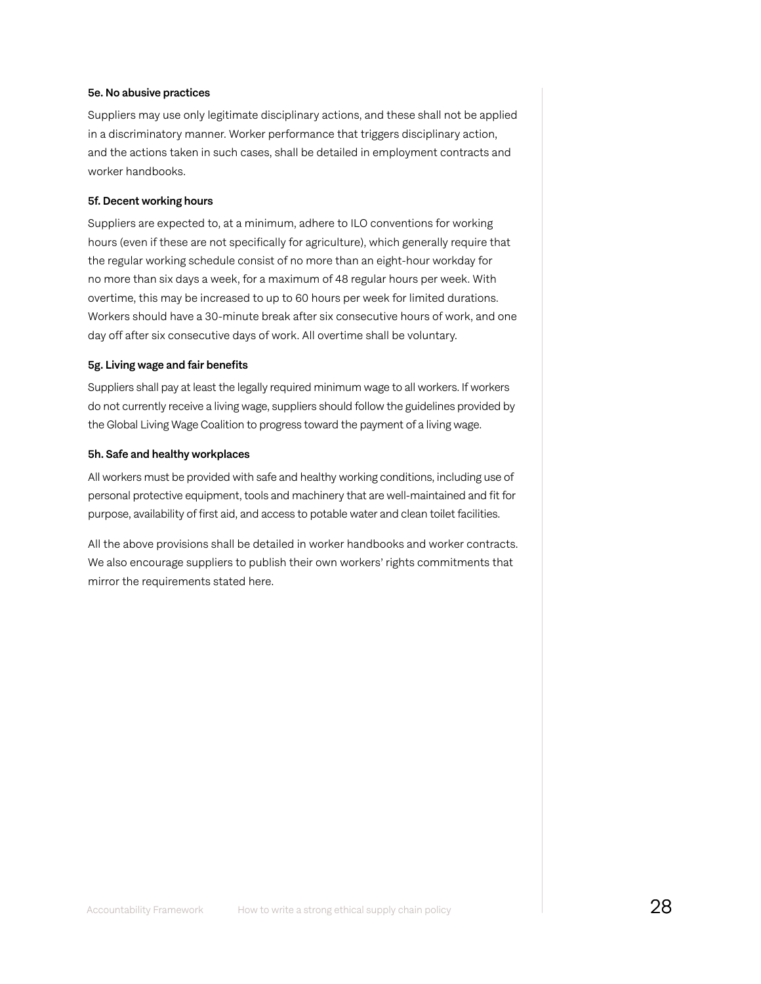#### 5e. No abusive practices

Suppliers may use only legitimate disciplinary actions, and these shall not be applied in a discriminatory manner. Worker performance that triggers disciplinary action, and the actions taken in such cases, shall be detailed in employment contracts and worker handbooks.

#### 5f. Decent working hours

Suppliers are expected to, at a minimum, adhere to ILO conventions for working hours (even if these are not specifically for agriculture), which generally require that the regular working schedule consist of no more than an eight-hour workday for no more than six days a week, for a maximum of 48 regular hours per week. With overtime, this may be increased to up to 60 hours per week for limited durations. Workers should have a 30-minute break after six consecutive hours of work, and one day off after six consecutive days of work. All overtime shall be voluntary.

#### 5g. Living wage and fair benefits

Suppliers shall pay at least the legally required minimum wage to all workers. If workers do not currently receive a living wage, suppliers should follow the guidelines provided by the Global Living Wage Coalition to progress toward the payment of a living wage.

#### 5h. Safe and healthy workplaces

All workers must be provided with safe and healthy working conditions, including use of personal protective equipment, tools and machinery that are well-maintained and fit for purpose, availability of first aid, and access to potable water and clean toilet facilities.

All the above provisions shall be detailed in worker handbooks and worker contracts. We also encourage suppliers to publish their own workers' rights commitments that mirror the requirements stated here.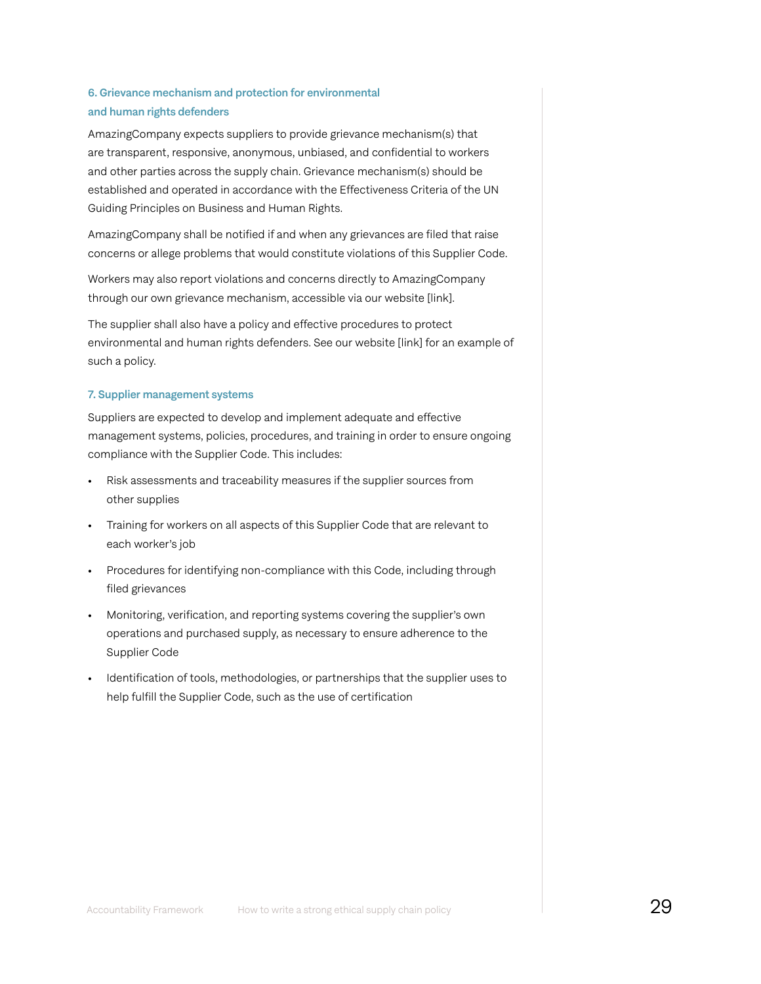### 6. Grievance mechanism and protection for environmental and human rights defenders

AmazingCompany expects suppliers to provide grievance mechanism(s) that are transparent, responsive, anonymous, unbiased, and confidential to workers and other parties across the supply chain. Grievance mechanism(s) should be established and operated in accordance with the Effectiveness Criteria of the UN Guiding Principles on Business and Human Rights.

AmazingCompany shall be notified if and when any grievances are filed that raise concerns or allege problems that would constitute violations of this Supplier Code.

Workers may also report violations and concerns directly to AmazingCompany through our own grievance mechanism, accessible via our website [link].

The supplier shall also have a policy and effective procedures to protect environmental and human rights defenders. See our website [link] for an example of such a policy.

#### 7. Supplier management systems

Suppliers are expected to develop and implement adequate and effective management systems, policies, procedures, and training in order to ensure ongoing compliance with the Supplier Code. This includes:

- Risk assessments and traceability measures if the supplier sources from other supplies
- Training for workers on all aspects of this Supplier Code that are relevant to each worker's job
- Procedures for identifying non-compliance with this Code, including through filed grievances
- Monitoring, verification, and reporting systems covering the supplier's own operations and purchased supply, as necessary to ensure adherence to the Supplier Code
- Identification of tools, methodologies, or partnerships that the supplier uses to help fulfill the Supplier Code, such as the use of certification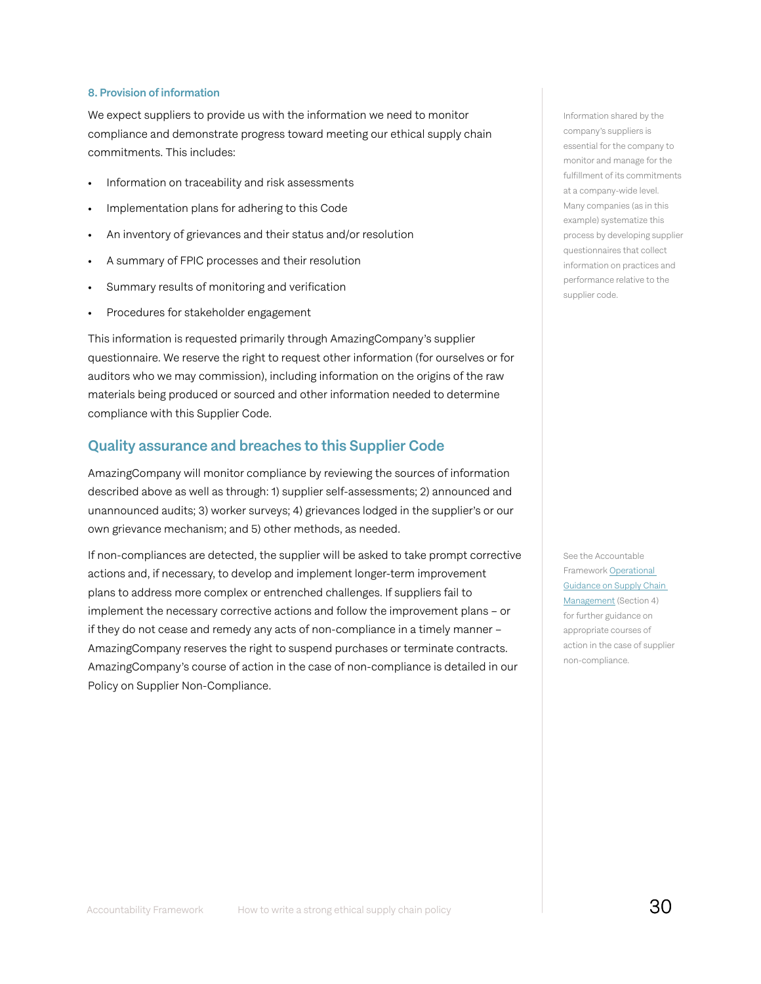#### 8. Provision of information

We expect suppliers to provide us with the information we need to monitor compliance and demonstrate progress toward meeting our ethical supply chain commitments. This includes:

- Information on traceability and risk assessments
- Implementation plans for adhering to this Code
- An inventory of grievances and their status and/or resolution
- A summary of FPIC processes and their resolution
- Summary results of monitoring and verification
- Procedures for stakeholder engagement

This information is requested primarily through AmazingCompany's supplier questionnaire. We reserve the right to request other information (for ourselves or for auditors who we may commission), including information on the origins of the raw materials being produced or sourced and other information needed to determine compliance with this Supplier Code.

#### Quality assurance and breaches to this Supplier Code

AmazingCompany will monitor compliance by reviewing the sources of information described above as well as through: 1) supplier self-assessments; 2) announced and unannounced audits; 3) worker surveys; 4) grievances lodged in the supplier's or our own grievance mechanism; and 5) other methods, as needed.

If non-compliances are detected, the supplier will be asked to take prompt corrective actions and, if necessary, to develop and implement longer-term improvement plans to address more complex or entrenched challenges. If suppliers fail to implement the necessary corrective actions and follow the improvement plans – or if they do not cease and remedy any acts of non-compliance in a timely manner – AmazingCompany reserves the right to suspend purchases or terminate contracts. AmazingCompany's course of action in the case of non-compliance is detailed in our Policy on Supplier Non-Compliance.

Information shared by the company's suppliers is essential for the company to monitor and manage for the fulfillment of its commitments at a company-wide level. Many companies (as in this example) systematize this process by developing supplier questionnaires that collect information on practices and performance relative to the supplier code.

See the Accountable Framework [Operational](https://accountability-framework.org/operational-guidance/supply-chain-management/)  [Guidance on Supply Chain](https://accountability-framework.org/operational-guidance/supply-chain-management/)  [Management](https://accountability-framework.org/operational-guidance/supply-chain-management/) (Section 4) for further guidance on appropriate courses of action in the case of supplier non-compliance.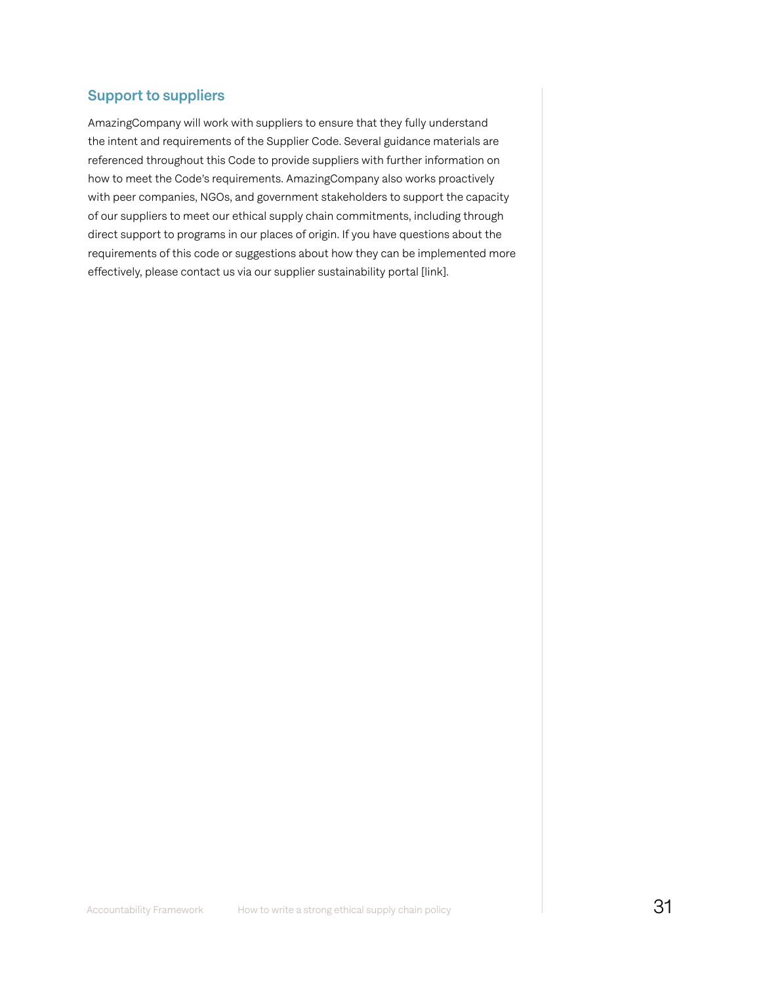### Support to suppliers

AmazingCompany will work with suppliers to ensure that they fully understand the intent and requirements of the Supplier Code. Several guidance materials are referenced throughout this Code to provide suppliers with further information on how to meet the Code's requirements. AmazingCompany also works proactively with peer companies, NGOs, and government stakeholders to support the capacity of our suppliers to meet our ethical supply chain commitments, including through direct support to programs in our places of origin. If you have questions about the requirements of this code or suggestions about how they can be implemented more effectively, please contact us via our supplier sustainability portal [link].